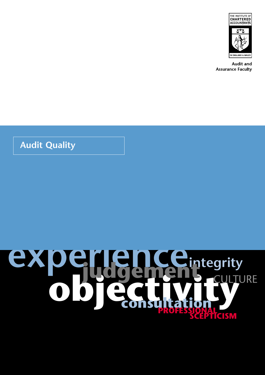

Audit and **Assurance Faculty** 

**Audit Quality**

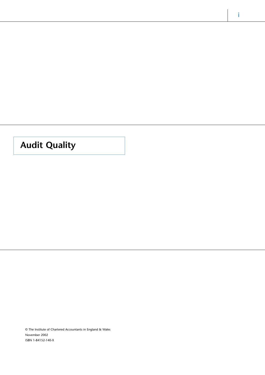# **Audit Quality**

© The Institute of Chartered Accountants in England & Wales November 2002 ISBN 1-84152-140-X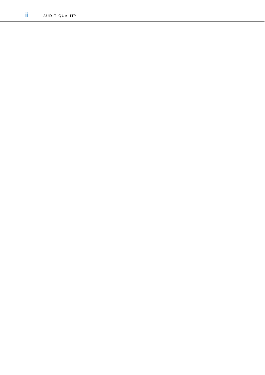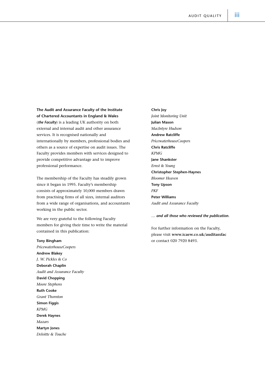**The Audit and Assurance Faculty of the Institute of Chartered Accountants in England & Wales** (*the Faculty*) is a leading UK authority on both external and internal audit and other assurance services. It is recognised nationally and internationally by members, professional bodies and others as a source of expertise on audit issues. The Faculty provides members with services designed to provide competitive advantage and to improve professional performance.

The membership of the Faculty has steadily grown since it began in 1995. Faculty's membership consists of approximately 10,000 members drawn from practising firms of all sizes, internal auditors from a wide range of organisations, and accountants working in the public sector.

We are very grateful to the following Faculty members for giving their time to write the material contained in this publication:

**Tony Bingham** *PricewaterhouseCoopers* **Andrew Blakey** *J. W. Pickles & Co* **Deborah Chaplin** *Audit and Assurance Faculty* **David Chopping** *Moore Stephens* **Ruth Cooke** *Grant Thornton* **Simon Figgis** *KPMG* **Derek Haynes** *Mazars* **Martyn Jones** *Deloitte & Touche*

**Chris Joy** *Joint Monitoring Unit* **Julian Mason** *MacIntyre Hudson* **Andrew Ratcliffe** *PricewaterhouseCoopers* **Chris Ratcliffe** *KPMG* **Jane Shankster** *Ernst & Young* **Christopher Stephen-Haynes** *Bloomer Heaven* **Tony Upson** *PKF* **Peter Williams** *Audit and Assurance Faculty*

… *and all those who reviewed the publication.*

For further information on the Faculty, please visit **www.icaew.co.uk/auditassfac** or contact 020 7920 8493.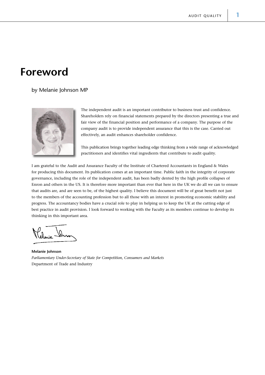# **Foreword**

by Melanie Johnson MP



The independent audit is an important contributor to business trust and confidence. Shareholders rely on financial statements prepared by the directors presenting a true and fair view of the financial position and performance of a company. The purpose of the company audit is to provide independent assurance that this is the case. Carried out effectively, an audit enhances shareholder confidence.

This publication brings together leading edge thinking from a wide range of acknowledged practitioners and identifies vital ingredients that contribute to audit quality.

I am grateful to the Audit and Assurance Faculty of the Institute of Chartered Accountants in England & Wales for producing this document. Its publication comes at an important time. Public faith in the integrity of corporate governance, including the role of the independent audit, has been badly dented by the high profile collapses of Enron and others in the US. It is therefore more important than ever that here in the UK we do all we can to ensure that audits are, and are seen to be, of the highest quality. I believe this document will be of great benefit not just to the members of the accounting profession but to all those with an interest in promoting economic stability and progress. The accountancy bodies have a crucial role to play in helping us to keep the UK at the cutting edge of best practice in audit provision. I look forward to working with the Faculty as its members continue to develop its thinking in this important area.

**Melanie Johnson** *Parliamentary Under-Secretary of State for Competition, Consumers and Markets* Department of Trade and Industry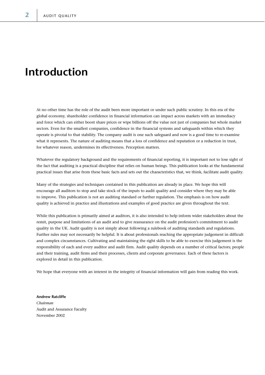# **Introduction**

At no other time has the role of the audit been more important or under such public scrutiny. In this era of the global economy, shareholder confidence in financial information can impact across markets with an immediacy and force which can either boost share prices or wipe billions off the value not just of companies but whole market sectors. Even for the smallest companies, confidence in the financial systems and safeguards within which they operate is pivotal to that stability. The company audit is one such safeguard and now is a good time to re-examine what it represents. The nature of auditing means that a loss of confidence and reputation or a reduction in trust, for whatever reason, undermines its effectiveness. Perception matters.

Whatever the regulatory background and the requirements of financial reporting, it is important not to lose sight of the fact that auditing is a practical discipline that relies on human beings. This publication looks at the fundamental practical issues that arise from these basic facts and sets out the characteristics that, we think, facilitate audit quality.

Many of the strategies and techniques contained in this publication are already in place. We hope this will encourage all auditors to stop and take stock of the inputs to audit quality and consider where they may be able to improve. This publication is not an auditing standard or further regulation. The emphasis is on how audit quality is achieved in practice and illustrations and examples of good practice are given throughout the text.

While this publication is primarily aimed at auditors, it is also intended to help inform wider stakeholders about the remit, purpose and limitations of an audit and to give reassurance on the audit profession's commitment to audit quality in the UK. Audit quality is not simply about following a rulebook of auditing standards and regulations. Further rules may not necessarily be helpful. It is about professionals reaching the appropriate judgement in difficult and complex circumstances. Cultivating and maintaining the right skills to be able to exercise this judgement is the responsibility of each and every auditor and audit firm. Audit quality depends on a number of critical factors; people and their training, audit firms and their processes, clients and corporate governance. Each of these factors is explored in detail in this publication.

We hope that everyone with an interest in the integrity of financial information will gain from reading this work.

**Andrew Ratcliffe** *Chairman* Audit and Assurance Faculty November 2002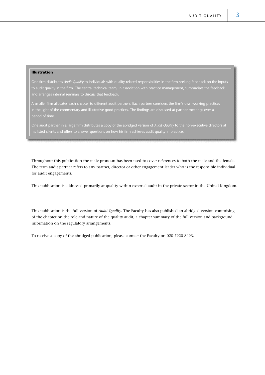# **Illustration**

One firm distributes *Audit Quality* to individuals with quality-related responsibilities in the firm seeking feedback on the inputs to audit quality in the firm. The central technical team, in association with practice management, summarises the feedback and arranges internal seminars to discuss that feedback.

A smaller firm allocates each chapter to different audit partners. Each partner considers the firm's own working practices in the light of the commentary and illustrative good practices. The findings are discussed at partner meetings over a

One audit partner in a large firm distributes a copy of the abridged version of *Audit Quality* to the non-executive directors at his listed clients and offers to answer questions on how his firm achieves audit quality in practice.

Throughout this publication the male pronoun has been used to cover references to both the male and the female. The term audit partner refers to any partner, director or other engagement leader who is the responsible individual for audit engagements.

This publication is addressed primarily at quality within external audit in the private sector in the United Kingdom.

This publication is the full version of *Audit Quality*. The Faculty has also published an abridged version comprising of the chapter on the role and nature of the quality audit, a chapter summary of the full version and background information on the regulatory arrangements.

To receive a copy of the abridged publication, please contact the Faculty on 020 7920 8493.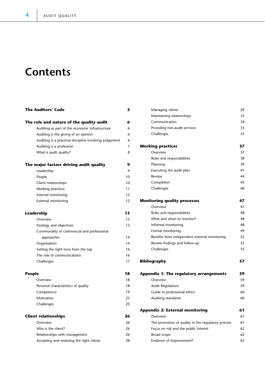# **Contents**

| <b>The Auditors' Code</b>                              | 5  |
|--------------------------------------------------------|----|
| The role and nature of the quality audit               | 6  |
| Auditing as part of the economic infrastructure        | 6  |
| Auditing is the giving of an opinion                   | 6  |
| Auditing is a practical discipline involving judgement | 6  |
| Auditing is a profession                               | 7  |
| What is audit quality?                                 | 8  |
| The major factors driving audit quality                | 9  |
| Leadership                                             | 9  |
| People                                                 | 10 |
| Client relationships                                   | 10 |
| Working practices                                      | 11 |
| Internal monitoring                                    | 12 |
| External monitoring                                    | 12 |
| Leadership                                             | 13 |
| Overview                                               | 13 |
| Strategy and objectives                                | 13 |
| Commonality of commercial and professional             |    |
| approaches                                             | 14 |
| Organisation                                           | 14 |
| Setting the right tone from the top                    | 16 |
| The role of communications                             | 16 |
| Challenges                                             | 17 |
| People                                                 | 18 |
| Overview                                               | 18 |
| Personal characteristics of quality                    | 18 |
| Competence                                             | 19 |
| Motivation                                             | 23 |
| Challenges                                             | 25 |
| <b>Client relationships</b>                            | 26 |
| Overview                                               | 26 |
| Who is the client?                                     | 26 |
| Relationships with management                          | 26 |
| Accepting and retaining the right clients              | 28 |

| Managing clients                                   | 29 |
|----------------------------------------------------|----|
| Maintaining relationships                          | 33 |
| Communication                                      | 34 |
| Providing non-audit services                       | 35 |
| Challenges                                         | 35 |
| <b>Working practices</b>                           | 37 |
| Overview                                           | 37 |
| Roles and responsibilities                         | 38 |
| Planning                                           | 39 |
| Executing the audit plan                           | 41 |
| Review                                             | 44 |
| Completion                                         | 45 |
| Challenges                                         | 46 |
| <b>Monitoring quality processes</b>                | 47 |
| Overview                                           | 47 |
| Roles and responsibilities                         | 48 |
| What and when to monitor?                          | 48 |
| Informal monitoring                                | 48 |
| Formal monitoring                                  | 49 |
| Benefits from independent external monitoring      | 52 |
| Review findings and follow-up                      | 53 |
| Challenges                                         | 55 |
| <b>Bibliography</b>                                | 57 |
| <b>Appendix 1: The regulatory arrangements</b>     | 59 |
| Overview                                           | 59 |
| <b>Audit Regulations</b>                           | 59 |
| Guide to professional ethics                       | 60 |
| Auditing standards                                 | 60 |
| Appendix 2: External monitoring                    | 61 |
| Overview                                           | 61 |
| The promotion of quality in the regulatory process | 61 |
| Focus on risk and the public interest              | 62 |
| Broad scope                                        | 62 |
| Evidence of improvement?                           | 63 |
|                                                    |    |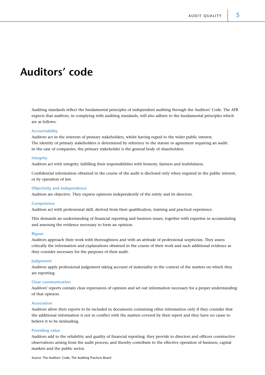# **Auditors' code**

Auditing standards reflect the fundamental principles of independent auditing through the Auditors' Code. The APB expects that auditors, in complying with auditing standards, will also adhere to the fundamental principles which are as follows:

#### **Accountability**

Auditors act in the interests of primary stakeholders, whilst having regard to the wider public interest. The identity of primary stakeholders is determined by reference to the statute or agreement requiring an audit: in the case of companies, the primary stakeholder is the general body of shareholders.

#### **Integrity**

Auditors act with integrity, fulfilling their responsibilities with honesty, fairness and truthfulness.

Confidential information obtained in the course of the audit is disclosed only when required in the public interest, or by operation of law.

#### **Objectivity and independence**

Auditors are objective. They express opinions independently of the entity and its directors.

#### **Competence**

Auditors act with professional skill, derived from their qualification, training and practical experience.

This demands an understanding of financial reporting and business issues, together with expertise in accumulating and assessing the evidence necessary to form an opinion.

#### **Rigour**

Auditors approach their work with thoroughness and with an attitude of professional scepticism. They assess critically the information and explanations obtained in the course of their work and such additional evidence as they consider necessary for the purposes of their audit.

#### **Judgement**

Auditors apply professional judgement taking account of materiality in the context of the matters on which they are reporting.

#### **Clear communication**

Auditors' reports contain clear expressions of opinion and set out information necessary for a proper understanding of that opinion.

#### **Association**

Auditors allow their reports to be included in documents containing other information only if they consider that the additional information is not in conflict with the matters covered by their report and they have no cause to believe it to be misleading.

#### **Providing value**

Auditors add to the reliability and quality of financial reporting; they provide to directors and officers constructive observations arising from the audit process; and thereby contribute to the effective operation of business, capital markets and the public sector.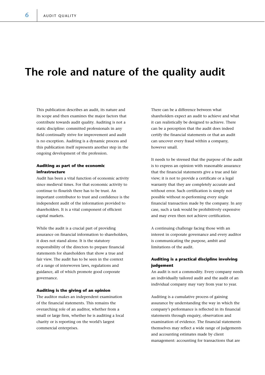# **The role and nature of the quality audit**

This publication describes an audit, its nature and its scope and then examines the major factors that contribute towards audit quality. Auditing is not a static discipline: committed professionals in any field continually strive for improvement and audit is no exception. Auditing is a dynamic process and this publication itself represents another step in the ongoing development of the profession.

# **Auditing as part of the economic infrastructure**

Audit has been a vital function of economic activity since medieval times. For that economic activity to continue to flourish there has to be trust. An important contributor to trust and confidence is the independent audit of the information provided to shareholders. It is a vital component of efficient capital markets.

While the audit is a crucial part of providing assurance on financial information to shareholders, it does not stand alone. It is the statutory responsibility of the directors to prepare financial statements for shareholders that show a true and fair view. The audit has to be seen in the context of a range of interwoven laws, regulations and guidance, all of which promote good corporate governance.

### **Auditing is the giving of an opinion**

The auditor makes an independent examination of the financial statements. This remains the overarching role of an auditor, whether from a small or large firm, whether he is auditing a local charity or is reporting on the world's largest commercial enterprises.

There can be a difference between what shareholders expect an audit to achieve and what it can realistically be designed to achieve. There can be a perception that the audit does indeed certify the financial statements or that an audit can uncover every fraud within a company, however small.

It needs to be stressed that the purpose of the audit is to express an opinion with reasonable assurance that the financial statements give a true and fair view; it is not to provide a certificate or a legal warranty that they are completely accurate and without error. Such certification is simply not possible without re-performing every single financial transaction made by the company. In any case, such a task would be prohibitively expensive and may even then not achieve certification.

A continuing challenge facing those with an interest in corporate governance and every auditor is communicating the purpose, ambit and limitations of the audit.

# **Auditing is a practical discipline involving judgement**

An audit is not a commodity. Every company needs an individually tailored audit and the audit of an individual company may vary from year to year.

Auditing is a cumulative process of gaining assurance by understanding the way in which the company's performance is reflected in its financial statements through enquiry, observation and examination of evidence. The financial statements themselves may reflect a wide range of judgements and accounting estimates made by client management: accounting for transactions that are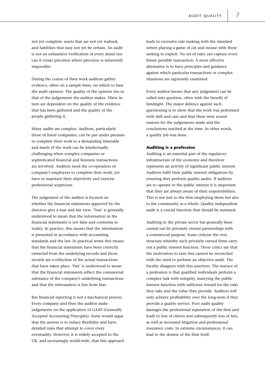not yet complete; assets that are not yet realised; and liabilities that may not yet be certain. An audit is not an exhaustive verification of every detail nor can it create precision where precision is inherently impossible.

During the course of their work auditors gather evidence, often on a sample basis, on which to base the audit opinion. The quality of the opinion lies in that of the judgements the auditor makes. These in turn are dependent on the quality of the evidence that has been gathered and the quality of the people gathering it.

Many audits are complex. Auditors, particularly those of listed companies, can be put under pressure to complete their work to a demanding timetable and much of the work can be intellectually challenging when complex companies or sophisticated financial and business transactions are involved. Auditors need the co-operation of company's employees to complete their work, yet have to maintain their objectivity and exercise professional scepticism.

The judgement of the auditor is focused on whether the financial statements approved by the directors give a true and fair view. 'True' is generally understood to mean that the information in the financial statements is not false and conforms to reality. In practice, this means that the information is presented in accordance with accounting standards and the law. In practical terms this means that the financial statements have been correctly extracted from the underlying records and those records are a reflection of the actual transactions that have taken place. 'Fair' is understood to mean that the financial statements reflect the commercial substance of the company's underlying transactions and that the information is free from bias.

But financial reporting is not a mechanical process. Every company and then the auditor make judgements on the application of GAAP (Generally Accepted Accounting Principles). Some would argue that the answer is to reduce flexibility and have detailed rules that attempt to cover every eventuality. However, it is widely accepted in the UK, and increasingly world-wide, that this approach leads to excessive rule making with the standard setters playing a game of cat and mouse with those seeking to exploit. No set of rules can capture every future possible transaction. A more effective alternative is to have principles and guidance against which particular transactions or complex situations are rigorously examined.

Every auditor knows that any judgement can be called into question, often with the benefit of hindsight. The major defence against such questioning is to show that the work was performed with skill and care and that there were sound reasons for the judgements made and the conclusions reached at the time. In other words, a quality job was done.

#### **Auditing is a profession**

Auditing is an essential part of the regulatory infrastructure of the economy and therefore represents an activity of significant public interest. Auditors fulfil their public interest obligations by ensuring they perform quality audits. If auditors are to operate in the public interest it is important that they are always aware of their responsibilities. This is not just to the firm employing them but also to the community as a whole. Quality independent audit is a crucial function that should be nurtured.

Auditing in the private sector has generally been carried out by privately owned partnerships with a commercial purpose. Some criticise the very structure whereby such privately owned firms carry out a public interest function. These critics say that the motivation to earn fees cannot be reconciled with the need to perform an objective audit. The Faculty disagrees with this assertion. The essence of a profession is that qualified individuals perform a complex task with integrity, marrying the public interest function with sufficient reward for the risks they take and the value they provide. Auditors will only achieve profitability over the long-term if they provide a quality service. Poor audit quality damages the professional reputation of the firm and leads to loss of clients and subsequently loss of fees, as well as increased litigation and professional insurance costs. In extreme circumstances, it can lead to the demise of the firm itself.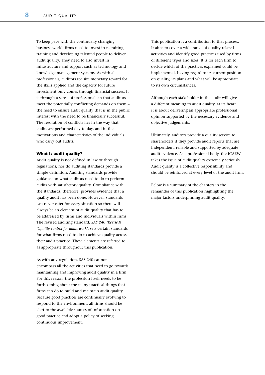To keep pace with the continually changing business world, firms need to invest in recruiting, training and developing talented people to deliver audit quality. They need to also invest in infrastructure and support such as technology and knowledge management systems. As with all professionals, auditors require monetary reward for the skills applied and the capacity for future investment only comes through financial success. It is through a sense of professionalism that auditors meet the potentially conflicting demands on them – the need to ensure audit quality that is in the public interest with the need to be financially successful. The resolution of conflicts lies in the way that audits are performed day-to-day, and in the motivations and characteristics of the individuals who carry out audits.

### **What is audit quality?**

Audit quality is not defined in law or through regulations, nor do auditing standards provide a simple definition. Auditing standards provide guidance on what auditors need to do to perform audits with satisfactory quality. Compliance with the standards, therefore, provides evidence that a quality audit has been done. However, standards can never cater for every situation so there will always be an element of audit quality that has to be addressed by firms and individuals within firms. The revised auditing standard, *SAS 240 (Revised) 'Quality control for audit work'*, sets certain standards for what firms need to do to achieve quality across their audit practice. These elements are referred to as appropriate throughout this publication.

As with any regulation, SAS 240 cannot encompass all the activities that need to go towards maintaining and improving audit quality in a firm. For this reason, the profession itself needs to be forthcoming about the many practical things that firms can do to build and maintain audit quality. Because good practices are continually evolving to respond to the environment, all firms should be alert to the available sources of information on good practice and adopt a policy of seeking continuous improvement.

This publication is a contribution to that process. It aims to cover a wide range of quality-related activities and identify good practices used by firms of different types and sizes. It is for each firm to decide which of the practices explained could be implemented, having regard to its current position on quality, its plans and what will be appropriate to its own circumstances.

Although each stakeholder in the audit will give a different meaning to audit quality, at its heart it is about delivering an appropriate professional opinion supported by the necessary evidence and objective judgements.

Ultimately, auditors provide a quality service to shareholders if they provide audit reports that are independent, reliable and supported by adequate audit evidence. As a professional body, the ICAEW takes the issue of audit quality extremely seriously. Audit quality is a collective responsibility and should be reinforced at every level of the audit firm.

Below is a summary of the chapters in the remainder of this publication highlighting the major factors underpinning audit quality.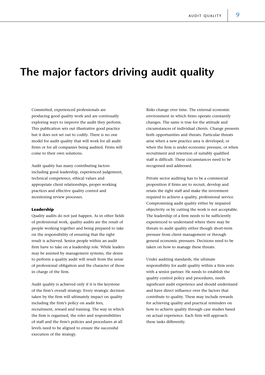# **The major factors driving audit quality**

Committed, experienced professionals are producing good quality work and are continually exploring ways to improve the audit they perform. This publication sets out illustrative good practice but it does not set out to codify. There is no one model for audit quality that will work for all audit firms or for all companies being audited. Firms will come to their own solutions.

Audit quality has many contributing factors including good leadership, experienced judgement, technical competence, ethical values and appropriate client relationships, proper working practices and effective quality control and monitoring review processes.

#### **Leadership**

Quality audits do not just happen. As in other fields of professional work, quality audits are the result of people working together and being prepared to take on the responsibility of ensuring that the right result is achieved. Senior people within an audit firm have to take on a leadership role. While leaders may be assisted by management systems, the desire to perform a quality audit will result from the sense of professional obligation and the character of those in charge of the firm.

Audit quality is achieved only if it is the keystone of the firm's overall strategy. Every strategic decision taken by the firm will ultimately impact on quality including the firm's policy on audit fees, recruitment, reward and training. The way in which the firm is organised, the roles and responsibilities of staff and the firm's policies and procedures at all levels need to be aligned to ensure the successful execution of the strategy.

Risks change over time. The external economic environment in which firms operate constantly changes. The same is true for the attitude and circumstances of individual clients. Change presents both opportunities and threats. Particular threats arise when a new practice area is developed, or when the firm is under economic pressure, or when recruitment and retention of suitably qualified staff is difficult. These circumstances need to be recognised and addressed.

Private sector auditing has to be a commercial proposition if firms are to recruit, develop and retain the right staff and make the investment required to achieve a quality, professional service. Compromising audit quality either by impaired objectivity or by cutting the work is not acceptable. The leadership of a firm needs to be sufficiently experienced to understand where there may be threats to audit quality either though short-term pressure from client management or through general economic pressures. Decisions need to be taken on how to manage these threats.

Under auditing standards, the ultimate responsibility for audit quality within a firm rests with a senior partner. He needs to establish the quality control policy and procedures, needs significant audit experience and should understand and have direct influence over the factors that contribute to quality. These may include rewards for achieving quality and practical reminders on how to achieve quality through case studies based on actual experience. Each firm will approach these tasks differently.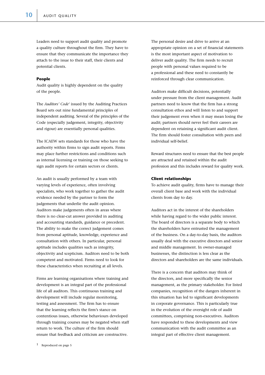Leaders need to support audit quality and promote a quality culture throughout the firm. They have to ensure that they communicate the importance they attach to the issue to their staff, their clients and potential clients.

#### **People**

Audit quality is highly dependent on the quality of the people.

The *Auditors' Code<sup>1</sup>* issued by the Auditing Practices Board sets out nine fundamental principles of independent auditing. Several of the principles of the Code (especially judgement, integrity, objectivity and rigour) are essentially personal qualities.

The ICAEW sets standards for those who have the authority within firms to sign audit reports. Firms may place further restrictions and conditions such as internal licensing or training on those seeking to sign audit reports for certain sectors or clients.

An audit is usually performed by a team with varying levels of experience, often involving specialists, who work together to gather the audit evidence needed by the partner to form the judgements that underlie the audit opinion. Auditors make judgements often in areas where there is no clear-cut answer provided in auditing and accounting standards, guidance or precedent. The ability to make the correct judgement comes from personal aptitude, knowledge, experience and consultation with others. In particular, personal aptitude includes qualities such as integrity, objectivity and scepticism. Auditors need to be both competent and motivated. Firms need to look for these characteristics when recruiting at all levels.

Firms are learning organisations where training and development is an integral part of the professional life of all auditors. This continuous training and development will include regular monitoring, testing and assessment. The firm has to ensure that the learning reflects the firm's stance on contentious issues, otherwise behaviours developed through training courses may be negated when staff return to work. The culture of the firm should ensure that feedback and criticism are constructive.

The personal desire and drive to arrive at an appropriate opinion on a set of financial statements is the most important aspect of motivation to deliver audit quality. The firm needs to recruit people with personal values required to be a professional and these need to constantly be reinforced through clear communication.

Auditors make difficult decisions, potentially under pressure from the client management. Audit partners need to know that the firm has a strong consultation ethos and will listen to and support their judgement even when it may mean losing the audit; partners should never feel their careers are dependent on retaining a significant audit client. The firm should foster consultation with peers and individual self-belief.

Reward structures need to ensure that the best people are attracted and retained within the audit profession and this includes reward for quality work.

### **Client relationships**

To achieve audit quality, firms have to manage their overall client base and work with the individual clients from day to day.

Auditors act in the interest of the shareholders while having regard to the wider public interest. The board of directors is a separate body to which the shareholders have entrusted the management of the business. On a day-to-day basis, the auditors usually deal with the executive directors and senior and middle management. In owner-managed businesses, the distinction is less clear as the directors and shareholders are the same individuals.

There is a concern that auditors may think of the directors, and more specifically the senior management, as the primary stakeholder. For listed companies, recognition of the dangers inherent in this situation has led to significant developments in corporate governance. This is particularly true in the evolution of the oversight role of audit committees, comprising non-executives. Auditors have responded to these developments and view communication with the audit committee as an integral part of effective client management.

1 Reproduced on page 5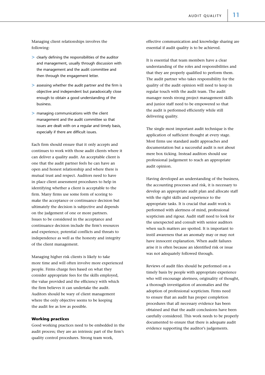Managing client relationships involves the following:

- **>** clearly defining the responsibilities of the auditor and management, usually through discussion with the management and the audit committee and then through the engagement letter.
- **>** assessing whether the audit partner and the firm is objective and independent but paradoxically close enough to obtain a good understanding of the business.
- **>** managing communications with the client management and the audit committee so that issues are dealt with on a regular and timely basis, especially if there are difficult issues.

Each firm should ensure that it only accepts and continues to work with those audit clients where it can deliver a quality audit. An acceptable client is one that the audit partner feels he can have an open and honest relationship and where there is mutual trust and respect. Auditors need to have in place client assessment procedures to help in identifying whether a client is acceptable to the firm. Many firms use some form of scoring to make the acceptance or continuance decision but ultimately the decision is subjective and depends on the judgement of one or more partners. Issues to be considered in the acceptance and continuance decision include the firm's resources and experience, potential conflicts and threats to independence as well as the honesty and integrity of the client management.

Managing higher risk clients is likely to take more time and will often involve more experienced people. Firms charge fees based on what they consider appropriate fees for the skills employed, the value provided and the efficiency with which the firm believes it can undertake the audit. Auditors should be wary of client management where the only objective seems to be keeping the audit fee as low as possible.

# **Working practices**

Good working practices need to be embedded in the audit process; they are an intrinsic part of the firm's quality control procedures. Strong team work,

effective communication and knowledge sharing are essential if audit quality is to be achieved.

It is essential that team members have a clear understanding of the roles and responsibilities and that they are properly qualified to perform them. The audit partner who takes responsibility for the quality of the audit opinion will need to keep in regular touch with the audit team. The audit manager needs strong project management skills and junior staff need to be empowered so that the audit is performed efficiently while still delivering quality.

The single most important audit technique is the application of sufficient thought at every stage. Most firms use standard audit approaches and documentation but a successful audit is not about mere box ticking. Instead auditors should use professional judgement to reach an appropriate audit opinion.

Having developed an understanding of the business, the accounting processes and risk, it is necessary to develop an appropriate audit plan and allocate staff with the right skills and experience to the appropriate tasks. It is crucial that audit work is performed with alertness of mind, professional scepticism and rigour. Audit staff need to look for the unexpected and consult with senior auditors when such matters are spotted. It is important to instil awareness that an anomaly may or may not have innocent explanation. When audit failures arise it is often because an identified risk or issue was not adequately followed through.

Reviews of audit files should be performed on a timely basis by people with appropriate experience who will encourage alertness, originality of thought, a thorough investigation of anomalies and the adoption of professional scepticism. Firms need to ensure that an audit has proper completion procedures that all necessary evidence has been obtained and that the audit conclusions have been carefully considered. This work needs to be properly documented to ensure that there is adequate audit evidence supporting the auditor's judgements.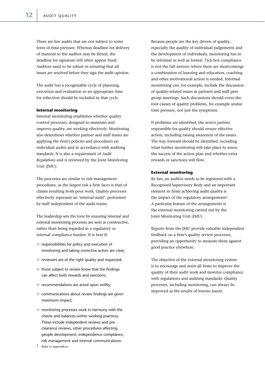There are few audits that are not subject to some form of time pressure. Whereas deadline for delivery of material to the auditor may be flexed, the deadline for signature will often appear fixed. Auditors need to be robust in ensuring that all issues are resolved before they sign the audit opinion.

The audit has a recognisable cycle of planning, execution and evaluation so an appropriate time for reflection should be included in that cycle.

#### **Internal monitoring**

Internal monitoring establishes whether quality control processes, designed to maintain and improve quality, are working effectively. Monitoring also determines whether partner and staff teams are applying the firm's policies and procedures on individual audits and in accordance with auditing standards. It is also a requirement of *Audit Regulations* and is reviewed by the Joint Monitoring Unit (JMU).

The processes are similar to risk management procedures, as the largest risk a firm faces is that of claims resulting from poor work. Quality processes effectively represent an 'internal audit', performed by staff independent of the audit teams.

The leadership sets the tone by ensuring internal and external monitoring processes are seen as constructive, rather than being regarded as a regulatory or internal compliance burden. It is best if:

- **>** responsibilities for policy and execution of monitoring and taking corrective action are clear;
- **>** reviewers are of the right quality and respected;
- **>** those subject to review know that the findings can affect both rewards and sanctions;
- **>** recommendations are acted upon swiftly;
- **>** communications about review findings are given maximum impact;
- **>** monitoring processes work in harmony with the checks and balances within working practices. These include independent reviews and preclearance reviews, other procedures affecting people development, independence compliance, risk management and internal communications.
- 2 Refer to appendices.

Because people are the key drivers of quality, especially the quality of individual judgements and the development of individuals, monitoring has to be informal as well as formal. Tick box compliance is not the full answer; where there are shortcomings a combination of learning and education, coaching and other motivational action is needed. Informal monitoring can, for example, include the discussion of quality-related issues at partners and staff peer group meetings. Such discussions should cover the root causes of quality problems, for example undue time pressure, not just the symptoms.

If problems are identified, the senior partner responsible for quality should ensure effective action, including raising awareness of the issues. The way forward should be identified, including what further monitoring will take place to assess the success of the action plan and whether extra rewards or sanctions will flow.

# **External monitoring**

By law, an auditor needs to be registered with a Recognised Supervisory Body and an important element in firms achieving audit quality is the impact of the regulatory arrangements<sup>2</sup>. A particular feature of the arrangements is the external monitoring carried out by the Joint Monitoring Unit (JMU).

Reports from the JMU provide valuable independent feedback on a firm's quality review processes, providing an opportunity to measure them against good practice elsewhere.

The objective of the external monitoring system is to encourage and assist all firms to improve the quality of their audit work and monitor compliance with regulations and auditing standards. Quality processes, including monitoring, can always be improved as the results of lessons learnt.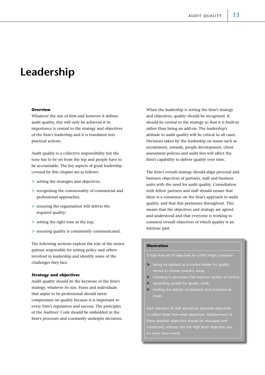# **Leadership**

# **Overview**

Whatever the size of firm and however it defines audit quality, this will only be achieved if its importance is central to the strategy and objectives of the firm's leadership and it is translated into practical actions.

Audit quality is a collective responsibility but the tone has to be set from the top and people have to be accountable. The key aspects of good leadership covered by this chapter are as follows:

- **>** setting the strategies and objectives;
- **>** recognising the commonality of commercial and professional approaches;
- **>** ensuring the organisation will deliver the required quality;
- **>** setting the right tone at the top;
- **>** ensuring quality is consistently communicated.

The following sections explore the role of the senior partner responsible for setting policy and others involved in leadership and identify some of the challenges they face.

# **Strategy and objectives**

Audit quality should be the keystone of the firm's strategy, whatever its size. Firms and individuals that aspire to be professional should never compromise on quality because it is important to every firm's reputation and success. The principles of the Auditors' Code should be embedded in the firm's processes and constantly underpin decisions. When the leadership is setting the firm's strategy and objectives, quality should be recognised. It should be central to the strategy so that it is built-in rather than being an add-on. The leadership's attitude to audit quality will be critical in all cases. Decisions taken by the leadership on issues such as recruitment, rewards, people development, client assessment policies and audit fees will affect the firm's capability to deliver quality over time.

The firm's overall strategy should align personal and business objectives of partners, staff and business units with the need for audit quality. Consultation with fellow partners and staff should ensure that there is a consensus on the firm's approach to audit quality, and that this permeates throughout. This means that the objectives and strategy are agreed and understood and that everyone is working to common overall objectives of which quality is an intrinsic part.

# **Illustration**

A high level set of objectives for a firm might comprise:

- **>** being recognised as a market leader for quality service in chosen practice areas;
- **>** investing in processes that improve quality of service;
- **>** rewarding people for quality work;
- **>** leading the debate on business and professional

Each member of staff should set personal objectives to reflect these firm-wide objectives. Achievement of these detailed objectives should be managed and monitored; without this the high level objectives are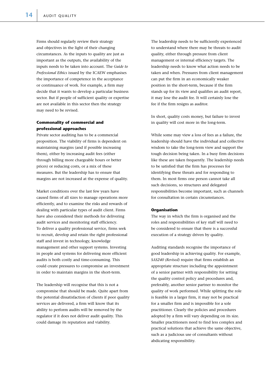Firms should regularly review their strategy and objectives in the light of their changing circumstances. As the inputs to quality are just as important as the outputs, the availability of the inputs needs to be taken into account. The *Guide to Professional Ethics* issued by the ICAEW emphasises the importance of competence in the acceptance or continuance of work. For example, a firm may decide that it wants to develop a particular business sector. But if people of sufficient quality or expertise are not available in this sector then the strategy may need to be revised.

# **Commonality of commercial and professional approaches**

Private sector auditing has to be a commercial proposition. The viability of firms is dependent on maintaining margins (and if possible increasing them), either by increasing audit fees (either through billing more chargeable hours or better prices) or reducing costs, or a mix of these measures. But the leadership has to ensure that margins are not increased at the expense of quality.

Market conditions over the last few years have caused firms of all sizes to manage operations more efficiently, and to examine the risks and rewards of dealing with particular types of audit client. Firms have also considered their methods for delivering audit services and monitoring staff efficiency. To deliver a quality professional service, firms seek to recruit, develop and retain the right professional staff and invest in technology, knowledge management and other support systems. Investing in people and systems for delivering more efficient audits is both costly and time-consuming. This could create pressures to compromise an investment in order to maintain margins in the short-term.

The leadership will recognise that this is not a compromise that should be made. Quite apart from the potential dissatisfaction of clients if poor quality services are delivered, a firm will know that its ability to perform audits will be removed by the regulator if it does not deliver audit quality. This could damage its reputation and viability.

The leadership needs to be sufficiently experienced to understand where there may be threats to audit quality, either through pressure from client management or internal efficiency targets. The leadership needs to know what action needs to be taken and when. Pressures from client management can put the firm in an economically weaker position in the short-term, because if the firm stands up for its view and qualifies an audit report, it may lose the audit fee. It will certainly lose the fee if the firm resigns as auditor.

In short, quality costs money, but failure to invest in quality will cost more in the long-term.

While some may view a loss of fees as a failure, the leadership should have the individual and collective wisdom to take the long-term view and support the tough decision being taken. In a busy firm decisions like these are taken frequently. The leadership needs to be satisfied that the firm has processes for identifying these threats and for responding to them. In most firms one person cannot take all such decisions, so structures and delegated responsibilities become important, such as channels for consultation in certain circumstances.

#### **Organisation**

The way in which the firm is organised and the roles and responsibilities of key staff will need to be considered to ensure that there is a successful execution of a strategy driven by quality.

Auditing standards recognise the importance of good leadership in achieving quality. For example, *SAS240 (Revised)* require that firms establish an appropriate structure including the appointment of a senior partner with responsibility for setting the quality control policy and procedures and, preferably, another senior partner to monitor the quality of work performed. While splitting the role is feasible in a larger firm, it may not be practical for a smaller firm and is impossible for a sole practitioner. Clearly the policies and procedures adopted by a firm will vary depending on its size. Smaller practitioners need to find less complex and practical solutions that achieve the same objective, such as a judicious use of consultants without abdicating responsibility.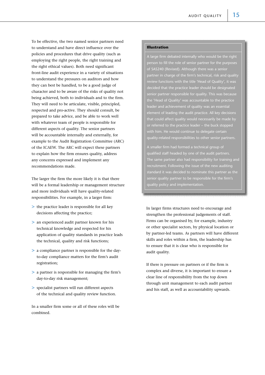To be effective, the two named senior partners need to understand and have direct influence over the policies and procedures that drive quality (such as employing the right people, the right training and the right ethical values). Both need significant front-line audit experience in a variety of situations to understand the pressures on auditors and how they can best be handled, to be a good judge of character and to be aware of the risks of quality not being achieved, both to individuals and to the firm. They will need to be articulate, visible, principled, respected and pro-active. They should consult, be prepared to take advice, and be able to work well with whatever team of people is responsible for different aspects of quality. The senior partners will be accountable internally and externally, for example to the Audit Registration Committee (ARC) of the ICAEW. The ARC will expect these partners to explain how the firm ensures quality, address any concerns expressed and implement any recommendations made.

The larger the firm the more likely it is that there will be a formal leadership or management structure and more individuals will have quality-related responsibilities. For example, in a larger firm:

- **>** the practice leader is responsible for all key decisions affecting the practice;
- **>** an experienced audit partner known for his technical knowledge and respected for his application of quality standards in practice leads the technical, quality and risk functions;
- **>** a compliance partner is responsible for the dayto-day compliance matters for the firm's audit registration;
- **>** a partner is responsible for managing the firm's day-to-day risk management;
- **>** specialist partners will run different aspects of the technical and quality review function.

In a smaller firm some or all of these roles will be combined.

# **Illustration**

A large firm debated internally who would be the right person to fill the role of senior partner for the purposes of SAS240 (Revised). Although there was a senior partner in charge of the firm's technical, risk and quality review functions with the title 'Head of Quality', it was decided that the practice leader should be designated the 'Head of Quality' was accountable to the practice leader and achievement of quality was an essential element of leading the audit practice. All key decisions or referred to the practice leader – the buck stopped with him. He would continue to delegate certain

A smaller firm had formed a technical group of The same partner also had responsibility for training and standard it was decided to nominate this partner as the senior quality partner to be responsible for the firm's quality policy and implementation.

In larger firms structures need to encourage and strengthen the professional judgements of staff. Firms can be organised by, for example, industry or other specialist sectors, by physical location or by partner-led teams. As partners will have different skills and roles within a firm, the leadership has to ensure that it is clear who is responsible for audit quality.

If there is pressure on partners or if the firm is complex and diverse, it is important to ensure a clear line of responsibility from the top down through unit management to each audit partner and his staff, as well as accountability upwards.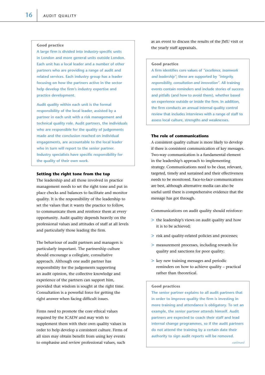#### **Good practice**

**A large firm is divided into industry-specific units in London and more general units outside London. Each unit has a local leader and a number of other partners who are providing a range of audit and related services. Each industry group has a leader focusing on how the partners active in the sector help develop the firm's industry expertise and practice development.** 

**Audit quality within each unit is the formal responsibility of the local leader, assisted by a partner in each unit with a risk management and technical quality role. Audit partners, the individuals who are responsible for the quality of judgements made and the conclusion reached on individual engagements, are accountable to the local leader who in turn will report to the senior partner. Industry specialists have specific responsibility for the quality of their own work.**

#### **Setting the right tone from the top**

The leadership and all those involved in practice management needs to set the right tone and put in place checks and balances to facilitate and monitor quality. It is the responsibility of the leadership to set the values that it wants the practice to follow, to communicate them and reinforce them at every opportunity. Audit quality depends heavily on the professional values and attitudes of staff at all levels and particularly those leading the firm.

The behaviour of audit partners and managers is particularly important. The partnership culture should encourage a collegiate, consultative approach. Although one audit partner has responsibility for the judgements supporting an audit opinion, the collective knowledge and experience of the partners can support him, provided that wisdom is sought at the right time. Consultation is a powerful force for getting the right answer when facing difficult issues.

Firms need to promote the core ethical values required by the ICAEW and may wish to supplement them with their own quality values in order to help develop a consistent culture. Firms of all sizes may obtain benefit from using key events to emphasise and review professional values, such

as an event to discuss the results of the JMU visit or the yearly staff appraisals.

#### **Good practice**

**A firm identifies core values of** *"excellence, teamwork and leadership"***; these are supported by** *"integrity, responsibility, consultation and innovation"***. All training events contain reminders and include stories of success and pitfalls (and how to avoid them), whether based on experience outside or inside the firm. In addition, the firm conducts an annual internal quality control review that includes interviews with a range of staff to assess local culture, strengths and weaknesses.**

# **The role of communications**

A consistent quality culture is more likely to develop if there is consistent communication of key messages. Two-way communication is a fundamental element in the leadership's approach to implementing strategy. Communications need to be clear, relevant, targeted, timely and sustained and their effectiveness needs to be monitored. Face-to-face communications are best, although alternative media can also be useful until there is comprehensive evidence that the message has got through.

Communications on audit quality should reinforce:

- **>** the leadership's views on audit quality and how it is to be achieved;
- **>** risk and quality-related policies and processes;
- **>** measurement processes, including rewards for quality and sanctions for poor quality;
- **>** key new training messages and periodic reminders on how to achieve quality – practical rather than theoretical.

#### **Good practices**

**The senior partner explains to all audit partners that in order to improve quality the firm is investing in more training and attendance is obligatory. To set an example, the senior partner attends himself. Audit partners are expected to coach their staff and lead internal change programmes, so if the audit partners do not attend the training by a certain date their authority to sign audit reports will be removed.** 

*continued*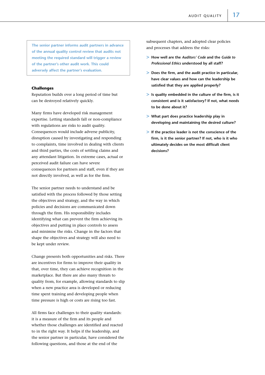**The senior partner informs audit partners in advance of the annual quality control review that audits not meeting the required standard will trigger a review of the partner's other audit work. This could adversely affect the partner's evaluation.**

#### **Challenges**

Reputation builds over a long period of time but can be destroyed relatively quickly.

Many firms have developed risk management expertise. Letting standards fall or non-compliance with regulations are risks to audit quality. Consequences would include adverse publicity, disruption caused by investigating and responding to complaints, time involved in dealing with clients and third parties, the costs of settling claims and any attendant litigation. In extreme cases, actual or perceived audit failure can have severe consequences for partners and staff, even if they are not directly involved, as well as for the firm.

The senior partner needs to understand and be satisfied with the process followed by those setting the objectives and strategy, and the way in which policies and decisions are communicated down through the firm. His responsibility includes identifying what can prevent the firm achieving its objectives and putting in place controls to assess and minimise the risks. Change in the factors that shape the objectives and strategy will also need to be kept under review.

Change presents both opportunities and risks. There are incentives for firms to improve their quality in that, over time, they can achieve recognition in the marketplace. But there are also many threats to quality from, for example, allowing standards to slip when a new practice area is developed or reducing time spent training and developing people when time pressure is high or costs are rising too fast.

All firms face challenges to their quality standards: it is a measure of the firm and its people and whether those challenges are identified and reacted to in the right way. It helps if the leadership, and the senior partner in particular, have considered the following questions, and those at the end of the

subsequent chapters, and adopted clear policies and processes that address the risks:

- **> How well are the** *Auditors' Code* **and the** *Guide to Professional Ethics* **understood by all staff?**
- **> Does the firm, and the audit practice in particular, have clear values and how can the leadership be satisfied that they are applied properly?**
- **> Is quality embedded in the culture of the firm, is it consistent and is it satisfactory? If not, what needs to be done about it?**
- **> What part does practice leadership play in developing and maintaining the desired culture?**
- **> If the practice leader is not the conscience of the firm, is it the senior partner? If not, who is it who ultimately decides on the most difficult client decisions?**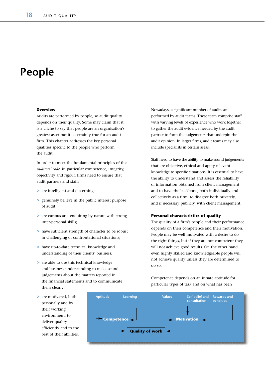# **People**

#### **Overview**

Audits are performed by people, so audit quality depends on their quality. Some may claim that it is a cliché to say that people are an organisation's greatest asset but it is certainly true for an audit firm. This chapter addresses the key personal qualities specific to the people who perform the audit.

In order to meet the fundamental principles of the *Auditors' code*, in particular competence, integrity, objectivity and rigour, firms need to ensure that audit partners and staff:

- **>** are intelligent and discerning;
- **>** genuinely believe in the public interest purpose of audit;
- **>** are curious and enquiring by nature with strong inter-personal skills;
- **>** have sufficient strength of character to be robust in challenging or confrontational situations;
- **>** have up-to-date technical knowledge and understanding of their clients' business;
- **>** are able to use this technical knowledge and business understanding to make sound judgements about the matters reported in the financial statements and to communicate them clearly;

**>** are motivated, both personally and by their working environment, to deliver quality efficiently and to the best of their abilities.



Nowadays, a significant number of audits are performed by audit teams. These team comprise staff with varying levels of experience who work together to gather the audit evidence needed by the audit partner to form the judgements that underpin the audit opinion. In larger firms, audit teams may also include specialists in certain areas.

Staff need to have the ability to make sound judgements that are objective, ethical and apply relevant knowledge to specific situations. It is essential to have the ability to understand and assess the reliability of information obtained from client management and to have the backbone, both individually and collectively as a firm, to disagree both privately, and if necessary publicly, with client management.

#### **Personal characteristics of quality**

The quality of a firm's people and their performance depends on their competence and their motivation. People may be well motivated with a desire to do the right things, but if they are not competent they will not achieve good results. On the other hand, even highly skilled and knowledgeable people will not achieve quality unless they are determined to do so.

Competence depends on an innate aptitude for particular types of task and on what has been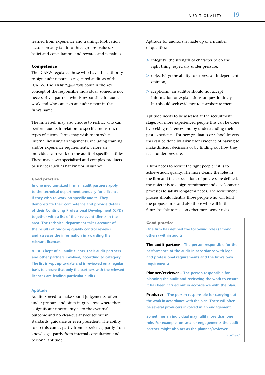learned from experience and training. Motivation factors broadly fall into three groups: values, selfbelief and consultation, and rewards and penalties.

### **Competence**

The ICAEW regulates those who have the authority to sign audit reports as registered auditors of the ICAEW. The *Audit Regulations* contain the key concept of the responsible individual, someone not necessarily a partner, who is responsible for audit work and who can sign an audit report in the firm's name.

The firm itself may also choose to restrict who can perform audits in relation to specific industries or types of clients. Firms may wish to introduce internal licensing arrangements, including training and/or experience requirements, before an individual can work on the audit of specific entities. These may cover specialised and complex products or services such as banking or insurance.

#### **Good practice**

**In one medium-sized firm all audit partners apply to the technical department annually for a licence if they wish to work on specific audits. They demonstrate their competence and provide details of their Continuing Professional Development (CPD) together with a list of their relevant clients in the area. The technical department takes account of the results of ongoing quality control reviews and assesses the information in awarding the relevant licences.**

**A list is kept of all audit clients, their audit partners and other partners involved, according to category. The list is kept up-to-date and is reviewed on a regular basis to ensure that only the partners with the relevant licences are leading particular audits.**

#### **Aptitude**

Auditors need to make sound judgements, often under pressure and often in grey areas where there is significant uncertainty as to the eventual outcome and no clear-cut answer set out in standards, guidance or even precedent. The ability to do this comes partly from experience, partly from knowledge, partly from internal consultation and personal aptitude.

Aptitude for auditors is made up of a number of qualities:

- **>** integrity: the strength of character to do the right thing, especially under pressure;
- **>** objectivity: the ability to express an independent opinion;
- **>** scepticism: an auditor should not accept information or explanations unquestioningly, but should seek evidence to corroborate them.

Aptitude needs to be assessed at the recruitment stage. For more experienced people this can be done by seeking references and by understanding their past experience. For new graduates or school-leavers this can be done by asking for evidence of having to make difficult decisions or by finding out how they react under pressure.

A firm needs to recruit the right people if it is to achieve audit quality. The more clearly the roles in the firm and the expectations of progress are defined, the easier it is to design recruitment and development processes to satisfy long-term needs. The recruitment process should identify those people who will fulfil the proposed role and also those who will in the future be able to take on other more senior roles.

#### **Good practice**

**One firm has defined the following roles (among others) within audits:**

**The audit partner – The person responsible for the performance of the audit in accordance with legal and professional requirements and the firm's own requirements.**

**Planner/reviewer – The person responsible for planning the audit and reviewing the work to ensure it has been carried out in accordance with the plan.**

**Producer – The person responsible for carrying out the work in accordance with the plan. There will often be several producers involved in an engagement.**

**Sometimes an individual may fulfil more than one role. For example, on smaller engagements the audit partner might also act as the planner/reviewer.**

*continued*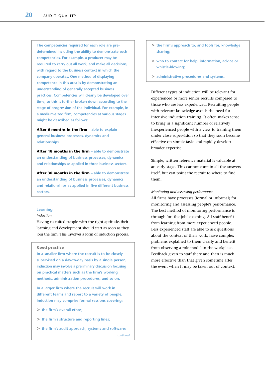**The competencies required for each role are predetermined including the ability to demonstrate such competencies. For example, a producer may be required to carry out all work, and make all decisions, with regard to the business context in which the company operates. One method of displaying competence in this area is by demonstrating an understanding of generally accepted business practices. Competencies will clearly be developed over time, so this is further broken down according to the stage of progression of the individual. For example, in a medium-sized firm, competencies at various stages might be described as follows:**

**After 6 months in the firm – able to explain general business processes, dynamics and relationships.**

**After 18 months in the firm – able to demonstrate an understanding of business processes, dynamics and relationships as applied in three business sectors.**

**After 30 months in the firm – able to demonstrate an understanding of business processes, dynamics and relationships as applied in five different business sectors.** 

# **Learning**

#### *Induction*

Having recruited people with the right aptitude, their learning and development should start as soon as they join the firm. This involves a form of induction process.

#### **Good practice**

**In a smaller firm where the recruit is to be closely supervised on a day-to-day basis by a single person, induction may involve a preliminary discussion focusing on practical matters such as the firm's working methods, administration procedures, and so on.**

**In a larger firm where the recruit will work in different teams and report to a variety of people, induction may comprise formal sessions covering:**

- **> the firm's overall ethos;**
- **> the firm's structure and reporting lines;**
- **> the firm's audit approach, systems and software;** *continued*
- **> the firm's approach to, and tools for, knowledge sharing;**
- **> who to contact for help, information, advice or whistle-blowing;**
- **> administrative procedures and systems.**

Different types of induction will be relevant for experienced or more senior recruits compared to those who are less experienced. Recruiting people with relevant knowledge avoids the need for intensive induction training. It often makes sense to bring in a significant number of relatively inexperienced people with a view to training them under close supervision so that they soon become effective on simple tasks and rapidly develop broader expertise.

Simple, written reference material is valuable at an early stage. This cannot contain all the answers itself, but can point the recruit to where to find them.

#### *Monitoring and assessing performance*

All firms have processes (formal or informal) for monitoring and assessing people's performance. The best method of monitoring performance is through 'on-the-job' coaching. All staff benefit from learning from more experienced people. Less experienced staff are able to ask questions about the context of their work, have complex problems explained to them clearly and benefit from observing a role model in the workplace. Feedback given to staff there and then is much more effective than that given sometime after the event when it may be taken out of context.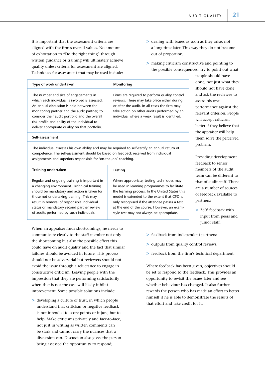It is important that the assessment criteria are aligned with the firm's overall values. No amount of exhortation to "Do the right thing" through written guidance or training will ultimately achieve quality unless criteria for assessment are aligned. Techniques for assessment that may be used include:

- **>** dealing with issues as soon as they arise, not a long time later. This way they do not become out of proportion;
- **>** making criticism constructive and pointing to the possible consequences. Try to point out what

| Type of work undertaken                                                                                                                                                                                                                                                                                                                  | Monitoring                                                                                                                                                                                                                                    |
|------------------------------------------------------------------------------------------------------------------------------------------------------------------------------------------------------------------------------------------------------------------------------------------------------------------------------------------|-----------------------------------------------------------------------------------------------------------------------------------------------------------------------------------------------------------------------------------------------|
| The number and size of engagements in<br>which each individual is involved is assessed.<br>An annual discussion is held between the<br>monitoring partner and the audit partner, to<br>consider their audit portfolio and the overall<br>risk profile and ability of the individual to<br>deliver appropriate quality on that portfolio. | Firms are required to perform quality control<br>reviews. These may take place either during<br>or after the audit. In all cases the firm may<br>take action on other audits performed by an<br>individual where a weak result is identified. |
| Self-assessment                                                                                                                                                                                                                                                                                                                          |                                                                                                                                                                                                                                               |

The individual assesses his own ability and may be required to self-certify an annual return of competence. The self-assessment should be based on feedback received from individual assignments and superiors responsible for 'on-the-job' coaching.

| Training undertaken                                                                                                                                                                                                                                                                                                           | <b>Testing</b>                                                                                                                                                                                                                                                                                                                           |
|-------------------------------------------------------------------------------------------------------------------------------------------------------------------------------------------------------------------------------------------------------------------------------------------------------------------------------|------------------------------------------------------------------------------------------------------------------------------------------------------------------------------------------------------------------------------------------------------------------------------------------------------------------------------------------|
| Regular and ongoing training is important in<br>a changing environment. Technical training<br>should be mandatory and action is taken for<br>those not undertaking training. This may<br>result in removal of responsible individual<br>status or mandatory second partner review<br>of audits performed by such individuals. | Where appropriate, testing techniques may<br>be used in learning programmes to facilitate<br>the learning process. In the United States this<br>model is extended to the extent that CPD is<br>only recognised if the attendee passes a test<br>at the end of the course. However, an exam-<br>style test may not always be appropriate. |

When an appraiser finds shortcomings, he needs to communicate clearly to the staff member not only the shortcoming but also the possible effect this could have on audit quality and the fact that similar failures should be avoided in future. This process should not be adversarial but reviewers should not avoid the issue through a reluctance to engage in constructive criticism. Leaving people with the impression that they are performing satisfactorily when that is not the case will likely inhibit improvement. Some possible solutions include:

**>** developing a culture of trust, in which people understand that criticism or negative feedback is not intended to score points or injure, but to help. Make criticisms privately and face-to-face, not just in writing as written comments can be stark and cannot carry the nuances that a discussion can. Discussion also gives the person being assessed the opportunity to respond;

people should have done, not just what they should not have done and ask the reviewee to assess his own performance against the relevant criterion. People will accept criticism better if they believe that the appraiser will help them solve the perceived problem.

Providing development feedback to senior members of the audit team can be different to that of audit staff. There are a number of sources of feedback available to partners:

- **>** 360° feedback with input from peers and junior staff;
- **>** feedback from independent partners;
- **>** outputs from quality control reviews;
- **>** feedback from the firm's technical department.

Where feedback has been given, objectives should be set to respond to the feedback. This provides an opportunity to revisit the issues later and see whether behaviour has changed. It also further rewards the person who has made an effort to better himself if he is able to demonstrate the results of that effort and take credit for it.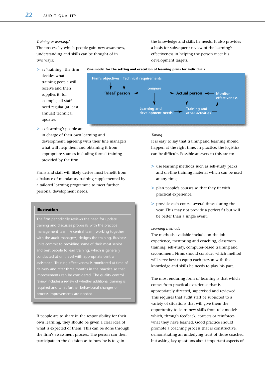#### *Training or learning?*

The process by which people gain new awareness, understanding and skills can be thought of in two ways:

**>** as 'training': the firm decides what training people will receive and then supplies it, for example, all staff need regular (at least annual) technical updates.



development targets.

**>** as 'learning': people are

in charge of their own learning and development, agreeing with their line managers what will help them and obtaining it from appropriate sources including formal training provided by the firm.

Firms and staff will likely derive most benefit from a balance of mandatory training supplemented by a tailored learning programme to meet further personal development needs.

#### **Illustration**

The firm periodically reviews the need for update training and discusses proposals with the practice management team. A central team, working together with the audit managers, designs the training. Business and best people to lead training, which is generally conducted at unit level with appropriate central delivery and after three months in the practice so that review includes a review of whether additional training is required and what further behavioural changes or process improvements are needed.

If people are to share in the responsibility for their own learning, they should be given a clear idea of what is expected of them. This can be done through the firm's assessment process. The person can then participate in the decision as to how he is to gain

#### *Timing*

It is easy to say that training and learning should happen at the right time. In practice, the logistics can be difficult. Possible answers to this are to:

the knowledge and skills he needs. It also provides a basis for subsequent review of the learning's effectiveness in helping the person meet his

- **>** use learning methods such as self-study packs and on-line training material which can be used at any time;
- **>** plan people's courses so that they fit with practical experience;
- **>** provide each course several times during the year. This may not provide a perfect fit but will be better than a single event.

#### *Learning methods*

The methods available include on-the-job experience, mentoring and coaching, classroom training, self-study, computer-based training and secondment. Firms should consider which method will serve best to equip each person with the knowledge and skills he needs to play his part.

The most enduring form of learning is that which comes from practical experience that is appropriately directed, supervised and reviewed. This requires that audit staff be subjected to a variety of situations that will give them the opportunity to learn new skills from role models which, through feedback, corrects or reinforces what they have learned. Good practice should promote a coaching process that is constructive, demonstrating an underlying trust of those coached but asking key questions about important aspects of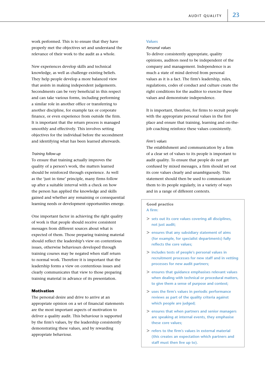work performed. This is to ensure that they have properly met the objectives set and understand the relevance of their work to the audit as a whole.

New experiences develop skills and technical knowledge, as well as challenge existing beliefs. They help people develop a more balanced view that assists in making independent judgements. Secondments can be very beneficial in this respect and can take various forms, including performing a similar role in another office or transferring to another discipline, for example tax or corporate finance, or even experience from outside the firm. It is important that the return process is managed smoothly and effectively. This involves setting objectives for the individual before the secondment and identifying what has been learned afterwards.

#### *Training follow-up*

To ensure that training actually improves the quality of a person's work, the matters learned should be reinforced through experience. As well as the 'just in time' principle, many firms follow up after a suitable interval with a check on how the person has applied the knowledge and skills gained and whether any remaining or consequential learning needs or development opportunities emerge.

One important factor in achieving the right quality of work is that people should receive consistent messages from different sources about what is expected of them. Those preparing training material should reflect the leadership's view on contentious issues, otherwise behaviours developed through training courses may be negated when staff return to normal work. Therefore it is important that the leadership forms a view on contentious issues and clearly communicates that view to those preparing training material in advance of its presentation.

### **Motivation**

The personal desire and drive to arrive at an appropriate opinion on a set of financial statements are the most important aspects of motivation to deliver a quality audit. This behaviour is supported by the firm's values, by the leadership consistently demonstrating these values, and by rewarding appropriate behaviour.

# **Values**

#### *Personal values*

To deliver consistently appropriate, quality opinions, auditors need to be independent of the company and management. Independence is as much a state of mind derived from personal values as it is a fact. The firm's leadership, rules, regulations, codes of conduct and culture create the right conditions for the auditor to exercise these values and demonstrate independence.

It is important, therefore, for firms to recruit people with the appropriate personal values in the first place and ensure that training, learning and on-thejob coaching reinforce these values consistently.

#### *Firm's values*

The establishment and communication by a firm of a clear set of values to its people is important to audit quality. To ensure that people do not get confused by mixed messages, a firm should set out its core values clearly and unambiguously. This statement should then be used to communicate them to its people regularly, in a variety of ways and in a range of different contexts.

# **Good practice**

**A firm:**

- **> sets out its core values covering all disciplines, not just audit;**
- **> ensures that any subsidiary statement of aims (for example, for specialist departments) fully reflects the core values;**
- **> includes tests of people's personal values in recruitment processes for new staff and in vetting processes for new audit partners;**
- **> ensures that guidance emphasises relevant values when dealing with technical or procedural matters, to give them a sense of purpose and context;**
- **> uses the firm's values in periodic performance reviews as part of the quality criteria against which people are judged;**
- **> ensures that when partners and senior managers are speaking at internal events, they emphasise these core values;**
- **> refers to the firm's values in external material (this creates an expectation which partners and staff must then live up to).**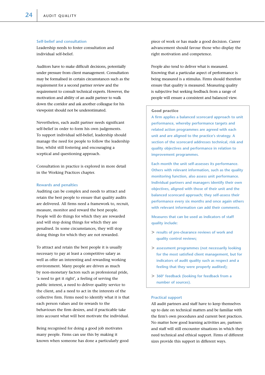#### **Self-belief and consultation**

Leadership needs to foster consultation and individual self-belief.

Auditors have to make difficult decisions, potentially under pressure from client management. Consultation may be formalised in certain circumstances such as the requirement for a second partner review and the requirement to consult technical experts. However, the motivation and ability of an audit partner to walk down the corridor and ask another colleague for his viewpoint should not be underestimated.

Nevertheless, each audit partner needs significant self-belief in order to form his own judgements. To support individual self-belief, leadership should manage the need for people to follow the leadership line, whilst still fostering and encouraging a sceptical and questioning approach.

Consultation in practice is explored in more detail in the Working Practices chapter.

#### **Rewards and penalties**

Auditing can be complex and needs to attract and retain the best people to ensure that quality audits are delivered. All firms need a framework to, recruit, measure, monitor and reward the best people. People will do things for which they are rewarded and will stop doing things for which they are penalised. In some circumstances, they will stop doing things for which they are not rewarded.

To attract and retain the best people it is usually necessary to pay at least a competitive salary as well as offer an interesting and rewarding working environment. Many people are driven as much by non-monetary factors such as professional pride, 'a need to get it right', a feeling of serving the public interest, a need to deliver quality service to the client, and a need to act in the interests of the collective firm. Firms need to identify what it is that each person values and tie rewards to the behaviours the firm desires, and if practicable take into account what will best motivate the individual.

Being recognised for doing a good job motivates many people. Firms can use this by making it known when someone has done a particularly good piece of work or has made a good decision. Career advancement should favour those who display the right motivation and competence.

People also tend to deliver what is measured. Knowing that a particular aspect of performance is being measured is a stimulus. Firms should therefore ensure that quality is measured. Measuring quality is subjective but seeking feedback from a range of people will ensure a consistent and balanced view.

#### **Good practice**

**A firm applies a balanced scorecard approach to unit performance, whereby performance targets and related action programmes are agreed with each unit and are aligned to the practice's strategy. A section of the scorecard addresses technical, risk and quality objectives and performance in relation to improvement programmes.** 

**Each month the unit self-assesses its performance. Others with relevant information, such as the quality monitoring function, also assess unit performance. Individual partners and managers identify their own objectives, aligned with those of their unit and the balanced scorecard approach; they self-assess their performance every six months and once again others with relevant information can add their comments.**

**Measures that can be used as indicators of staff quality include:**

- **> results of pre-clearance reviews of work and quality control reviews;**
- **> assessment programmes (not necessarily looking for the most satisfied client management, but for indicators of audit quality such as respect and a feeling that they were properly audited);**
- **> 360° feedback (looking for feedback from a number of sources).**

#### **Practical support**

All audit partners and staff have to keep themselves up to date on technical matters and be familiar with the firm's own procedures and current best practices. No matter how good learning activities are, partners and staff will still encounter situations in which they need technical and ethical support. Firms of different sizes provide this support in different ways.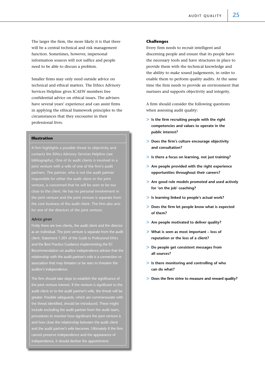The larger the firm, the more likely it is that there will be a central technical and risk management function. Sometimes, however, impersonal information sources will not suffice and people need to be able to discuss a problem.

Smaller firms may only need outside advice on technical and ethical matters. The Ethics Advisory Services Helpline gives ICAEW members free confidential advice on ethical issues. The advisers have several years' experience and can assist firms in applying the ethical framework principles to the circumstances that they encounter in their professional lives.

#### **Illustration**

A firm highlights a possible threat to objectivity and contacts the Ethics Advisory Services Helpline (see bibliography). One of its audit clients is involved in a joint venture with a wife of one of the firm's audit partners. The partner, who is not the audit partner responsible for either the audit client or the joint the joint venture and the joint venture is separate from the core business of the audit client. The firm also acts

#### *Advice given*

Firstly there are two clients, the audit client and the director as an individual. The joint venture is separate from the audit and the Best Practice Guidance implementing the EC Recommendation on auditor independence advises that the relationship with the audit partner's wife is a connection or auditor's independence.

The firm should take steps to establish the significance of the joint venture interest. If the venture is significant to the audit client or to the audit partner's wife, the threat will be greater. Possible safeguards, which are commensurate with the threat identified, should be introduced. These might include excluding the audit partner from the audit team, procedures to monitor how significant the joint venture is and the audit partner's wife becomes. Ultimately if the firm cannot preserve independence and the appearance of independence, it should decline the appointment.

#### **Challenges**

Every firm needs to recruit intelligent and discerning people and ensure that its people have the necessary tools and have structures in place to provide them with the technical knowledge and the ability to make sound judgements, in order to enable them to perform quality audits. At the same time the firm needs to provide an environment that nurtures and supports objectivity and integrity.

A firm should consider the following questions when assessing audit quality:

- **> Is the firm recruiting people with the right competencies and values to operate in the public interest?**
- **> Does the firm's culture encourage objectivity and consultation?**
- **> Is there a focus on learning, not just training?**
- **> Are people provided with the right experience opportunities throughout their careers?**
- **> Are good role models promoted and used actively for 'on the job' coaching?**
- **> Is learning linked to people's actual work?**
- **> Does the firm let people know what is expected of them?**
- **> Are people motivated to deliver quality?**
- **> What is seen as most important loss of reputation or the loss of a client?**
- **> Do people get consistent messages from all sources?**
- **> Is there monitoring and controlling of who can do what?**
- **> Does the firm strive to measure and reward quality?**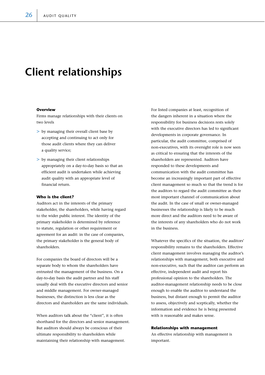# **Client relationships**

#### **Overview**

Firms manage relationships with their clients on two levels

- **>** by managing their overall client base by accepting and continuing to act only for those audit clients where they can deliver a quality service;
- **>** by managing their client relationships appropriately on a day-to-day basis so that an efficient audit is undertaken while achieving audit quality with an appropriate level of financial return.

### **Who is the client?**

Auditors act in the interests of the primary stakeholder, the shareholders, while having regard to the wider public interest. The identity of the primary stakeholder is determined by reference to statute, regulation or other requirement or agreement for an audit: in the case of companies, the primary stakeholder is the general body of shareholders.

For companies the board of directors will be a separate body to whom the shareholders have entrusted the management of the business. On a day-to-day basis the audit partner and his staff usually deal with the executive directors and senior and middle management. For owner-managed businesses, the distinction is less clear as the directors and shareholders are the same individuals.

When auditors talk about the "client", it is often shorthand for the directors and senior management. But auditors should always be conscious of their ultimate responsibility to shareholders while maintaining their relationship with management.

For listed companies at least, recognition of the dangers inherent in a situation where the responsibility for business decisions rests solely with the executive directors has led to significant developments in corporate governance. In particular, the audit committee, comprised of non-executives, with its oversight role is now seen as critical to ensuring that the interests of the shareholders are represented. Auditors have responded to these developments and communication with the audit committee has become an increasingly important part of effective client management so much so that the trend is for the auditors to regard the audit committee as their most important channel of communication about the audit. In the case of small or owner-managed businesses the relationship is likely to be much more direct and the auditors need to be aware of the interests of any shareholders who do not work in the business.

Whatever the specifics of the situation, the auditors' responsibility remains to the shareholders. Effective client management involves managing the auditor's relationships with management, both executive and non-executive, such that the auditor can perform an effective, independent audit and report his professional opinion to the shareholders. The auditor-management relationship needs to be close enough to enable the auditor to understand the business, but distant enough to permit the auditor to assess, objectively and sceptically, whether the information and evidence he is being presented with is reasonable and makes sense.

#### **Relationships with management**

An effective relationship with management is important.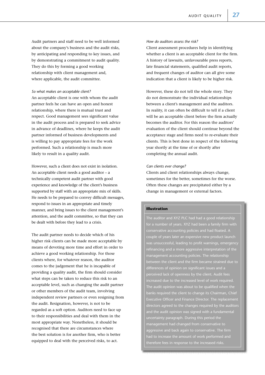Audit partners and staff need to be well informed about the company's business and the audit risks, by anticipating and responding to key issues, and by demonstrating a commitment to audit quality. They do this by forming a good working relationship with client management and, where applicable, the audit committee.

#### *So what makes an acceptable client?*

An acceptable client is one with whom the audit partner feels he can have an open and honest relationship, where there is mutual trust and respect. Good management sees significant value in the audit process and is prepared to seek advice in advance of deadlines, where he keeps the audit partner informed of business developments and is willing to pay appropriate fees for the work performed. Such a relationship is much more likely to result in a quality audit.

However, such a client does not exist in isolation. An acceptable client needs a good auditor – a technically competent audit partner with good experience and knowledge of the client's business supported by staff with an appropriate mix of skills. He needs to be prepared to convey difficult messages, respond to issues in an appropriate and timely manner, and bring issues to the client management's attention, and the audit committee, so that they can be dealt with before they lead to a crisis.

The audit partner needs to decide which of his higher risk clients can be made more acceptable by means of devoting more time and effort in order to achieve a good working relationship. For those clients where, for whatever reason, the auditor comes to the judgement that he is incapable of providing a quality audit, the firm should consider what steps can be taken to reduce this risk to an acceptable level, such as changing the audit partner or other members of the audit team, involving independent review partners or even resigning from the audit. Resignation, however, is not to be regarded as a soft option. Auditors need to face up to their responsibilities and deal with them in the most appropriate way. Nonetheless, it should be recognised that there are circumstances where the best solution is for another firm, who is better equipped to deal with the perceived risks, to act.

*How do auditors assess the risk?* 

Client assessment procedures help in identifying whether a client is an acceptable client for the firm. A history of lawsuits, unfavourable press reports, late financial statements, qualified audit reports, and frequent changes of auditor can all give some indication that a client is likely to be higher risk.

However, these do not tell the whole story. They do not demonstrate the individual relationships between a client's management and the auditors. In reality, it can often be difficult to tell if a client will be an acceptable client before the firm actually becomes the auditor. For this reason the auditors' evaluation of the client should continue beyond the acceptance stage and firms need to re-evaluate their clients. This is best done in respect of the following year shortly at the time of or shortly after completing the annual audit.

#### *Can clients ever change?*

Clients and client relationships always change, sometimes for the better, sometimes for the worse. Often these changes are precipitated either by a change in management or external factors.

#### **Illustration**

The auditor and XYZ PLC had had a good relationship conservative accounting policies and had floated. A couple of years later an expensive new product launch was unsuccessful, leading to profit warnings, emergency refinancing and a more aggressive interpretation of the management accounting policies. The relationship between the client and the firm became strained due to differences of opinion on significant issues and a perceived lack of openness by the client. Audit fees banks required the client to change its Chairman, Chief Executive Officer and Finance Director. The replacement directors agreed to the changes required by the auditors and the audit opinion was signed with a fundamental uncertainty paragraph. During this period the management had changed from conservative to aggressive and back again to conservative. The firm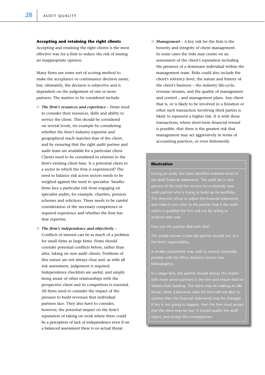# **Accepting and retaining the right clients**

Accepting and retaining the right clients is the most effective way for a firm to reduce the risk of issuing an inappropriate opinion.

Many firms use some sort of scoring method to make the acceptance or continuance decision easier, but, ultimately, the decision is subjective and is dependent on the judgement of one or more partners. The matters to be considered include:

- **>** *The firm's resources and experience* Firms need to consider their resources, skills and ability to service the client. This should be considered on several levels, for example by considering whether the firm's industry expertise and geographical reach matches that of the client, and by ensuring that the right audit partner and audit team are available for a particular client. Clients need to be considered in relation to the firm's existing client base. Is a potential client in a sector in which the firm is experienced? The need to balance risk across sectors needs to be weighed against the need to specialise. Smaller firms face a particular risk from engaging on specialist audits, for example, charities, pension schemes and solicitors. There needs to be careful consideration of the necessary competence or required experience and whether the firm has that expertise.
- **>** *The firm's independence and objectivity* Conflicts of interest can be as much of a problem for small firms as large firms. Firms should consider potential conflicts before, rather than after, taking on new audit clients. Problems of this nature are not always clear and, as with all risk assessment, judgement is required. Independence checklists are useful, and simply being aware of other relationships with the prospective client and its competitors is essential. All firms need to consider the impact of the pressure to build revenues that individual partners face. They also have to consider, however, the potential impact on the firm's reputation of taking on work where there could be a perception of lack of independence even if on a balanced assessment there is no actual threat.

**>** *Management* – A key risk for the firm is the honesty and integrity of client management. In some cases the risks may centre on an assessment of the client's reputation including the presence of a dominant individual within the management team. Risks could also include the client's solvency level, the nature and history of the client's business – the industry life-cycle, revenue streams, and the quality of management and control – and management plans. Any client that is, or is likely to be involved in a flotation or other such transaction involving third parties is likely to represent a higher risk. It is with these transactions, where short-term financial reward is possible, that there is the greatest risk that management may act aggressively in terms of accounting practices, or even dishonestly.

### **Illustration**

During an audit, the team identifies material errors in percent of the total fee income for a relatively new The directors refuse to adjust the financial statements, report is qualified the firm will not be acting as

The simple answer is that the partner should not. It is the firm's responsibility.

A smaller practitioner may wish to consult externally, possibly with the Ethics Advisory Service (see bibliography).

obtains their backing. The client may be making an idle opinion then the financial statements may be changed. If this is not going to happen, then the firm must accept report, and accept the consequences.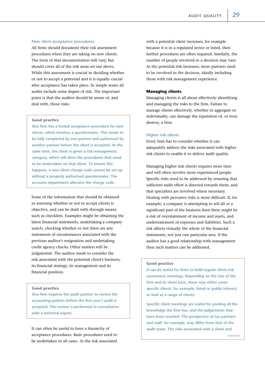#### **New client acceptance procedures**

All firms should document their risk assessment procedures when they are taking on new clients. The form of that documentation will vary, but should cover all of the risk areas set out above. While this assessment is crucial in deciding whether or not to accept a potential and it is equally crucial after acceptance has taken place. In simple terms all audits include some degree of risk. The important point is that the auditor should be aware of, and deal with, those risks.

#### **Good practice**

**One firm has a formal acceptance procedure for new clients, which involves a questionnaire. This needs to be fully completed by one partner and authorised by another partner before the client is accepted. At the same time, the client is given a risk management category, which will drive the procedures that need to be undertaken on that client. To ensure this happens, a new client charge code cannot be set up without a properly authorised questionnaire. The accounts department allocates the charge code.**

Some of the information that should be obtained in assessing whether or not to accept clients is objective, and can be dealt with through means such as checklists. Examples might be obtaining the latest financial statements, undertaking a company search, checking whether or not there are any statements of circumstances associated with the previous auditor's resignation and undertaking credit agency checks. Other matters will be judgmental. The auditor needs to consider the risk associated with the potential client's business, its financial strategy, its management and its financial position.

#### **Good practice**

**One firm requires the audit partner to review the accounting policies before the first year's audit is accepted. This review is performed in consultation with a technical expert.**

It can often be useful to have a hierarchy of acceptance procedures. Basic procedures need to be undertaken in all cases. As the risk associated with a potential client increases, for example because it is in a regulated sector or listed, then further procedures are often required. Similarly, the number of people involved in a decision may vary. As the potential risk increases, more partners need to be involved in the decision, ideally including those with risk management experience.

#### **Managing clients**

Managing clients is all about effectively identifying and managing the risks to the firm. Failure to manage clients effectively, whether in aggregate or individually, can damage the reputation of, or even destroy, a firm.

#### **Higher risk clients**

Every firm has to consider whether it can adequately address the risks associated with higher risk clients to enable it to deliver audit quality.

Managing higher risk clients requires more time and will often involve more experienced people. Specific risks need to be addressed by ensuring that sufficient audit effort is directed towards them, and that specialists are involved where necessary. Dealing with pervasive risks is more difficult. If, for example, a company is attempting to sell all or a significant part of the business then there might be a risk of overstatement of income and assets, and understatement of expenses and liabilities. Such a risk affects virtually the whole of the financial statements, not just one particular area. If the auditor has a good relationship with management then such matters can be addressed.

#### **Good practice**

**It can be useful for firms to hold regular client risk assessment meetings. Depending on the size of the firm and its client base, these may either cover specific clients, for example, listed or public interest, or look at a range of clients.** 

**Specific client meetings are useful for pooling all the knowledge the firm has, and the judgements that have been reached. The perspective of tax partners and staff, for example, may differ from that of the audit team. The risks associated with a client and** 

*continued*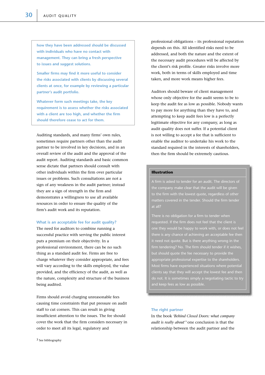**how they have been addressed should be discussed with individuals who have no contact with management. They can bring a fresh perspective to issues and suggest solutions.** 

**Smaller firms may find it more useful to consider the risks associated with clients by discussing several clients at once, for example by reviewing a particular partner's audit portfolio.** 

**Whatever form such meetings take, the key requirement is to assess whether the risks associated with a client are too high, and whether the firm should therefore cease to act for them.**

Auditing standards, and many firms' own rules, sometimes require partners other than the audit partner to be involved in key decisions, and in an overall review of the audit and the approval of the audit report. Auditing standards and basic common sense dictate that partners should consult with other individuals within the firm over particular issues or problems. Such consultations are not a sign of any weakness in the audit partner; instead they are a sign of strength in the firm and demonstrates a willingness to use all available resources in order to ensure the quality of the firm's audit work and its reputation.

#### **What is an acceptable fee for audit quality?**

The need for auditors to combine running a successful practice with serving the public interest puts a premium on their objectivity. In a professional environment, there can be no such thing as a standard audit fee. Firms are free to charge whatever they consider appropriate, and fees will vary according to the skills employed, the value provided, and the efficiency of the audit, as well as the nature, complexity and structure of the business being audited.

Firms should avoid charging unreasonable fees causing time constraints that put pressure on audit staff to cut corners. This can result in giving insufficient attention to the issues. The fee should cover the work that the firm considers necessary in order to meet all its legal, regulatory and

professional obligations – its professional reputation depends on this. All identified risks need to be addressed, and both the nature and the extent of the necessary audit procedures will be affected by the client's risk profile. Greater risks involve more work, both in terms of skills employed and time taken, and more work means higher fees.

Auditors should beware of client management whose only objective for the audit seems to be to keep the audit fee as low as possible. Nobody wants to pay more for anything than they have to, and attempting to keep audit fees low is a perfectly legitimate objective for any company, as long as audit quality does not suffer. If a potential client is not willing to accept a fee that is sufficient to enable the auditor to undertake his work to the standard required in the interests of shareholders, then the firm should be extremely cautious.

# **Illustration**

A firm is asked to tender for an audit. The directors of to the firm with the lowest quote, regardless of other at all?

There is no obligation for a firm to tender when requested. If the firm does not feel that the client is one they would be happy to work with, or does not feel there is any chance of achieving an acceptable fee then firm tendering? No. The firm should tender if it wishes, appropriate professional expertise to the shareholders. Most firms have experienced situations where potential clients say that they will accept the lowest fee and then do not. It is sometimes simply a negotiating tactic to try

### **The right partner**

In the book *'Behind Closed Doors: what company audit is really about*<sup>*'*3</sup> one conclusion is that the relationship between the audit partner and the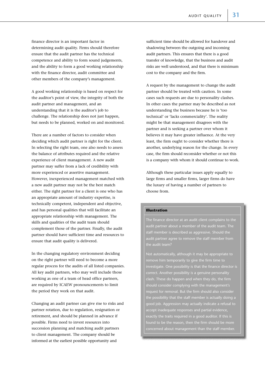finance director is an important factor in determining audit quality. Firms should therefore ensure that the audit partner has the technical competence and ability to form sound judgements, and the ability to form a good working relationship with the finance director, audit committee and other members of the company's management.

A good working relationship is based on respect for the auditor's point of view, the integrity of both the audit partner and management, and an understanding that it is the auditor's job to challenge. The relationship does not just happen, but needs to be planned, worked on and monitored.

There are a number of factors to consider when deciding which audit partner is right for the client. In selecting the right team, one also needs to assess the balance of attributes required and the relative experience of client management. A new audit partner may suffer from a lack of credibility with more experienced or assertive management. However, inexperienced management matched with a new audit partner may not be the best match either. The right partner for a client is one who has an appropriate amount of industry expertise, is technically competent, independent and objective, and has personal qualities that will facilitate an appropriate relationship with management. The skills and qualities of the audit team should complement those of the partner. Finally, the audit partner should have sufficient time and resources to ensure that audit quality is delivered.

In the changing regulatory environment deciding on the right partner will need to become a more regular process for the audits of all listed companies. All key audit partners, who may well include those working as one of a team of head office partners, are required by ICAEW pronouncements to limit the period they work on that audit.

Changing an audit partner can give rise to risks and partner rotation, due to regulation, resignation or retirement, and should be planned in advance if possible. Firms need to invest resources into succession planning and matching audit partners to client management. The company should be informed at the earliest possible opportunity and

sufficient time should be allowed for handover and shadowing between the outgoing and incoming audit partners. This ensures that there is a good transfer of knowledge, that the business and audit risks are well understood, and that there is minimum cost to the company and the firm.

A request by the management to change the audit partner should be treated with caution. In some cases such requests are due to personality clashes. In other cases the partner may be described as not understanding the business because he is 'too technical' or 'lacks commerciality'. The reality might be that management disagrees with the partner and is seeking a partner over whom it believes it may have greater influence. At the very least, the firm ought to consider whether there is another, underlying reason for the change. In every case, the firm should reconsider whether or not this is a company with whom it should continue to work.

Although these particular issues apply equally to large firms and smaller firms, larger firms do have the luxury of having a number of partners to choose from.

# **Illustration**

The finance director at an audit client complains to the taff member is described as aggressive. Should the audit partner agree to remove the staff member from

Not automatically, although it may be appropriate to investigate. One possibility is that the finance director is correct. Another possibility is a genuine personality clash. These do happen and when they do, the firm should consider complying with the management's request for removal. But the firm should also consider the possibility that the staff member is actually doing a good job. Aggression may actually indicate a refusal to accept inadequate responses and partial evidence, exactly the traits required in a good auditor. If this is concerned about management than the staff member.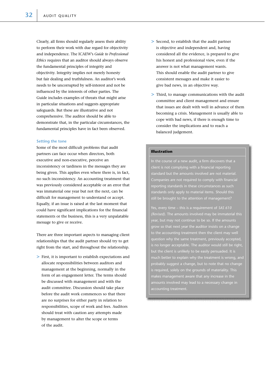Clearly, all firms should regularly assess their ability to perform their work with due regard for objectivity and independence. The ICAEW's *Guide to Professional Ethics* requires that an auditor should always observe the fundamental principles of integrity and objectivity. Integrity implies not merely honesty but fair dealing and truthfulness. An auditor's work needs to be uncorrupted by self-interest and not be influenced by the interests of other parties. The Guide includes examples of threats that might arise in particular situations and suggests appropriate safeguards. But these are illustrative and not comprehensive. The auditor should be able to demonstrate that, in the particular circumstances, the fundamental principles have in fact been observed.

#### **Setting the tone**

Some of the most difficult problems that audit partners can face occur when directors, both executive and non-executive, perceive an inconsistency or tardiness in the messages they are being given. This applies even where there is, in fact, no such inconsistency. An accounting treatment that was previously considered acceptable or an error that was immaterial one year but not the next, can be difficult for management to understand or accept. Equally, if an issue is raised at the last moment that could have significant implications for the financial statements or the business, this is a very unpalatable message to give or receive.

There are three important aspects to managing client relationships that the audit partner should try to get right from the start, and throughout the relationship.

**>** First, it is important to establish expectations and allocate responsibilities between auditors and management at the beginning, normally in the form of an engagement letter. The terms should be discussed with management and with the audit committee. Discussion should take place before the audit work commences so that there are no surprises for either party in relation to responsibilities, scope of work and fees. Auditors should treat with caution any attempts made by management to alter the scope or terms of the audit.

- **>** Second, to establish that the audit partner is objective and independent and, having considered all the evidence, is prepared to give his honest and professional view, even if the answer is not what management wants. This should enable the audit partner to give consistent messages and make it easier to give bad news, in an objective way.
- **>** Third, to manage communications with the audit committee and client management and ensure that issues are dealt with well in advance of them becoming a crisis. Management is usually able to cope with bad news, if there is enough time to consider the implications and to reach a balanced judgement.

#### **Illustration**

In the course of a new audit, a firm discovers that a client is not complying with a financial reporting Companies are not required to comply with financial reporting standards in these circumstances as such standards only apply to material items. Should this still be brought to the attention of management?

*(Revised)*. The amounts involved may be immaterial this grow so that next year the auditor insists on a change question why the same treatment, previously accepted, is no longer acceptable. The auditor would still be right, but the client is unlikely to be easily persuaded. It is much better to explain why the treatment is wrong, and probably suggest a change, but to note that no change is required, solely on the grounds of materiality. This makes management aware that any increase in the amounts involved may lead to a necessary change in accounting treatment.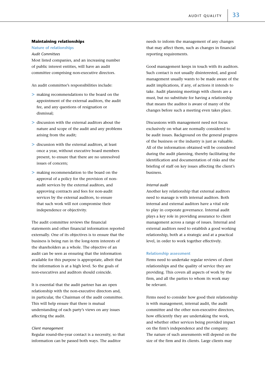# **Maintaining relationships**

# **Nature of relationships**

*Audit Committees*

Most listed companies, and an increasing number of public interest entities, will have an audit committee comprising non-executive directors.

An audit committee's responsibilities include:

- **>** making recommendations to the board on the appointment of the external auditors, the audit fee, and any questions of resignation or dismissal;
- **>** discussion with the external auditors about the nature and scope of the audit and any problems arising from the audit;
- **>** discussion with the external auditors, at least once a year, without executive board members present, to ensure that there are no unresolved issues of concern;
- **>** making recommendation to the board on the approval of a policy for the provision of nonaudit services by the external auditors, and approving contracts and fees for non-audit services by the external auditors, to ensure that such work will not compromise their independence or objectivity.

The audit committee reviews the financial statements and other financial information reported externally. One of its objectives is to ensure that the business is being run in the long-term interests of the shareholders as a whole. The objective of an audit can be seen as ensuring that the information available for this purpose is appropriate, albeit that the information is at a high level. So the goals of non-executives and auditors should coincide.

It is essential that the audit partner has an open relationship with the non-executive directors and, in particular, the Chairman of the audit committee. This will help ensure that there is mutual understanding of each party's views on any issues affecting the audit.

#### *Client management*

Regular round-the-year contact is a necessity, so that information can be passed both ways. The auditor

needs to inform the management of any changes that may affect them, such as changes in financial reporting requirements.

Good management keeps in touch with its auditors. Such contact is not usually disinterested, and good management usually wants to be made aware of the audit implications, if any, of actions it intends to take. Audit planning meetings with clients are a must, but no substitute for having a relationship that means the auditor is aware of many of the changes before such a meeting even takes place.

Discussions with management need not focus exclusively on what are normally considered to be audit issues. Background on the general progress of the business or the industry is just as valuable. All of the information obtained will be considered during the audit planning, thereby facilitating the identification and documentation of risks and the briefing of staff on key issues affecting the client's business.

#### *Internal audit*

Another key relationship that external auditors need to manage is with internal auditors. Both internal and external auditors have a vital role to play in corporate governance. Internal audit plays a key role in providing assurance to client management across a range of issues. Internal and external auditors need to establish a good working relationship, both at a strategic and at a practical level, in order to work together effectively.

#### **Relationship assessment**

Firms need to undertake regular reviews of client relationships and the quality of service they are providing. This covers all aspects of work by the firm, and all the parties to whom its work may be relevant.

Firms need to consider how good their relationship is with management, internal audit, the audit committee and the other non-executive directors, how efficiently they are undertaking the work, and whether other services being provided impact on the firm's independence and the company. The nature of such assessments will depend on the size of the firm and its clients. Large clients may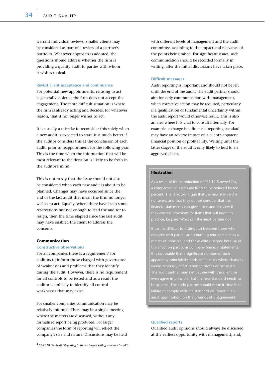warrant individual reviews, smaller clients may be considered as part of a review of a partner's portfolio. Whatever approach is adopted, the questions should address whether the firm is providing a quality audit to parties with whom it wishes to deal.

### **Revisit client acceptance and continuance**

For potential new appointments, refusing to act is generally easier as the firm does not accept the engagement. The more difficult situation is where the firm is already acting and decides, for whatever reason, that it no longer wishes to act.

It is usually a mistake to reconsider this solely when a new audit is expected to start; it is much better if the auditor considers this at the conclusion of each audit, prior to reappointment for the following year. This is the time when the information that will be most relevant to the decision is likely to be fresh in the auditor's mind.

This is not to say that the issue should not also be considered when each new audit is about to be planned. Changes may have occurred since the end of the last audit that mean the firm no longer wishes to act. Equally, where there have been some reservations but not enough to lead the auditor to resign, then the time elapsed since the last audit may have enabled the client to address the concerns.

# **Communication**

#### **Constructive observations**

For all companies there is a requirement<sup>4</sup> for auditors to inform those charged with governance of weaknesses and problems that they identify during the audit. However, there is no requirement for all controls to be tested and as a result the auditor is unlikely to identify all control weaknesses that may exist.

For smaller companies communication may be relatively informal. There may be a single meeting where the matters are discussed, without any formalised report being produced. For larger companies the form of reporting will reflect the company's size and nature. Discussions may be held with different levels of management and the audit committee, according to the impact and relevance of the points being raised. For significant issues, such communication should be recorded formally in writing, after the initial discussions have taken place.

#### **Difficult messages**

Audit reporting is important and should not be left until the end of the audit. The audit partner should aim for early communication with management, when corrective action may be required, particularly if a qualification or fundamental uncertainty within the audit report would otherwise result. This is also an area where it is vital to consult internally. For example, a change in a financial reporting standard may have an adverse impact on a client's apparent financial position or profitability. Waiting until the latter stages of the audit is only likely to lead to an aggrieved client.

### **Illustration**

As a result of the introduction of FRS 19 *Deferred Tax*,  $\overline{\text{percent}}$ . The directors argue that the new standard is financial statements can give a true and fair view if practice, be paid. What can the audit partner do?

It can be difficult to distinguish between those who disagree with particular accounting requirements as a matter of principle, and those who disagree because of the effect on particular company financial statements. It is noticeable that a significant number of such apparently principled stands are in cases where changes would adversely affect reported profits or net assets. even agree in principle. But the new standard needs to be applied. The audit partner should make it clear that failure to comply with the standard will result in an audit qualification, on the grounds of disagreement.

#### **Qualified reports**

Qualified audit opinions should always be discussed at the earliest opportunity with management, and,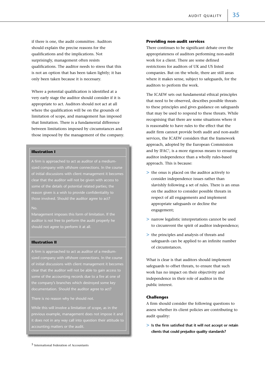if there is one, the audit committee. Auditors should explain the precise reasons for the qualifications and the implications. Not surprisingly, management often resists qualifications. The auditor needs to stress that this is not an option that has been taken lightly; it has only been taken because it is necessary.

Where a potential qualification is identified at a very early stage the auditor should consider if it is appropriate to act. Auditors should not act at all where the qualification will be on the grounds of limitation of scope, and management has imposed that limitation. There is a fundamental difference between limitations imposed by circumstances and those imposed by the management of the company.

# **Illustration I**

A firm is approached to act as auditor of a mediumsized company with offshore connections. In the course of initial discussions with client management it becomes clear that the auditor will not be given with access to some of the details of potential related parties; the reason given is a wish to provide confidentiality to those involved. Should the auditor agree to act?

#### No.

Management imposes this form of limitation. If the auditor is not free to perform the audit properly he should not agree to perform it at all.

#### **Illustration II**

A firm is approached to act as auditor of a mediumsized company with offshore connections. In the course of initial discussions with client management it becomes clear that the auditor will not be able to gain access to the company's branches which destroyed some key documentation. Should the auditor agree to act?

While this will involve a limitation of scope, as in the previous example, management does not impose it and accounting matters or the audit.

#### **Providing non-audit services**

There continues to be significant debate over the appropriateness of auditors performing non-audit work for a client. There are some defined restrictions for auditors of UK and US listed companies. But on the whole, there are still areas where it makes sense, subject to safeguards, for the auditors to perform the work.

The ICAEW sets out fundamental ethical principles that need to be observed, describes possible threats to these principles and gives guidance on safeguards that may be used to respond to these threats. While recognising that there are some situations where it is reasonable to have rules to the effect that the audit firm cannot provide both audit and non-audit services, the ICAEW considers that the framework approach, adopted by the European Commission and by IFAC<sup>5</sup>, is a more rigorous means to ensuring auditor independence than a wholly rules-based approach. This is because:

- **>** the onus is placed on the auditor actively to consider independence issues rather than slavishly following a set of rules. There is an onus on the auditor to consider possible threats in respect of all engagements and implement appropriate safeguards or decline the engagement;
- **>** narrow legalistic interpretations cannot be used to circumvent the spirit of auditor independence;
- **>** the principles and analysis of threats and safeguards can be applied to an infinite number of circumstances.

What is clear is that auditors should implement safeguards to offset threats, to ensure that such work has no impact on their objectivity and independence in their role of auditor in the public interest.

#### **Challenges**

A firm should consider the following questions to assess whether its client policies are contributing to audit quality:

**> Is the firm satisfied that it will not accept or retain clients that could prejudice quality standards?**

5 International Federation of Accountants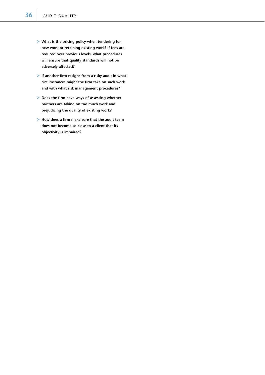- **> What is the pricing policy when tendering for new work or retaining existing work? If fees are reduced over previous levels, what procedures will ensure that quality standards will not be adversely affected?**
- **> If another firm resigns from a risky audit in what circumstances might the firm take on such work and with what risk management procedures?**
- **> Does the firm have ways of assessing whether partners are taking on too much work and prejudicing the quality of existing work?**
- **> How does a firm make sure that the audit team does not become so close to a client that its objectivity is impaired?**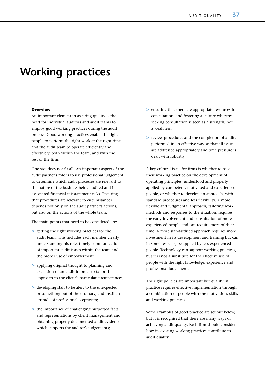# **Working practices**

#### **Overview**

An important element in assuring quality is the need for individual auditors and audit teams to employ good working practices during the audit process. Good working practices enable the right people to perform the right work at the right time and the audit team to operate efficiently and effectively, both within the team, and with the rest of the firm.

One size does not fit all. An important aspect of the audit partner's role is to use professional judgement to determine which audit processes are relevant to the nature of the business being audited and its associated financial misstatement risks. Ensuring that procedures are relevant to circumstances depends not only on the audit partner's actions, but also on the actions of the whole team.

The main points that need to be considered are:

- **>** getting the right working practices for the audit team. This includes each member clearly understanding his role, timely communication of important audit issues within the team and the proper use of empowerment;
- **>** applying original thought to planning and execution of an audit in order to tailor the approach to the client's particular circumstances;
- **>** developing staff to be alert to the unexpected, or something out of the ordinary, and instil an attitude of professional scepticism;
- **>** the importance of challenging purported facts and representations by client management and obtaining properly documented audit evidence which supports the auditor's judgements;
- **>** ensuring that there are appropriate resources for consultation, and fostering a culture whereby seeking consultation is seen as a strength, not a weakness;
- **>** review procedures and the completion of audits performed in an effective way so that all issues are addressed appropriately and time pressure is dealt with robustly.

A key cultural issue for firms is whether to base their working practice on the development of operating principles, understood and properly applied by competent, motivated and experienced people, or whether to develop an approach, with standard procedures and less flexibility. A more flexible and judgmental approach, tailoring work methods and responses to the situation, requires the early involvement and consultation of more experienced people and can require more of their time. A more standardised approach requires more investment in its development and training but can, in some respects, be applied by less experienced people. Technology can support working practices, but it is not a substitute for the effective use of people with the right knowledge, experience and professional judgement.

The right policies are important but quality in practice requires effective implementation through a combination of people with the motivation, skills and working practices.

Some examples of good practice are set out below, but it is recognised that there are many ways of achieving audit quality. Each firm should consider how its existing working practices contribute to audit quality.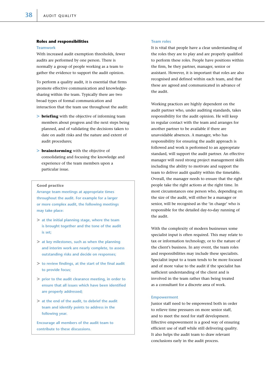# **Roles and responsibilities**

### **Teamwork**

With increased audit exemption thresholds, fewer audits are performed by one person. There is normally a group of people working as a team to gather the evidence to support the audit opinion.

To perform a quality audit, it is essential that firms promote effective communication and knowledgesharing within the team. Typically there are two broad types of formal communication and interaction that the team use throughout the audit:

- **> briefing** with the objective of informing team members about progress and the next steps being planned, and of validating the decisions taken to date on audit risks and the nature and extent of audit procedures;
- **> brainstorming** with the objective of consolidating and focusing the knowledge and experience of the team members upon a particular issue.

# **Good practice**

**Arrange team meetings at appropriate times throughout the audit. For example for a larger or more complex audit, the following meetings may take place:**

- **> at the initial planning stage, where the team is brought together and the tone of the audit is set;**
- **> at key milestones, such as when the planning and interim work are nearly complete, to assess outstanding risks and decide on responses;**
- **> to review findings, at the start of the final audit to provide focus;**
- **> prior to the audit clearance meeting, in order to ensure that all issues which have been identified are properly addressed;**
- **> at the end of the audit, to debrief the audit team and identify points to address in the following year.**

**Encourage all members of the audit team to contribute to these discussions.**

### **Team roles**

It is vital that people have a clear understanding of the roles they are to play and are properly qualified to perform these roles. People have positions within the firm, be they partner, manager, senior or assistant. However, it is important that roles are also recognised and defined within each team, and that these are agreed and communicated in advance of the audit.

Working practices are highly dependent on the audit partner who, under auditing standards, takes responsibility for the audit opinion. He will keep in regular contact with the team and arranges for another partner to be available if there are unavoidable absences. A manager, who has responsibility for ensuring the audit approach is followed and work is performed to an appropriate standard, will support the audit partner. An effective manager will need strong project management skills including the ability to motivate and support the team to deliver audit quality within the timetable. Overall, the manager needs to ensure that the right people take the right actions at the right time. In most circumstances one person who, depending on the size of the audit, will either be a manager or senior, will be recognised as the 'in charge' who is responsible for the detailed day-to-day running of the audit.

With the complexity of modern businesses some specialist input is often required. This may relate to tax or information technology, or to the nature of the client's business. In any event, the team roles and responsibilities may include these specialists. Specialist input to a team tends to be more focused and of more value to the audit if the specialist has sufficient understanding of the client and is involved in the team rather than being treated as a consultant for a discrete area of work.

#### **Empowerment**

Junior staff need to be empowered both in order to relieve time pressures on more senior staff, and to meet the need for staff development. Effective empowerment is a good way of ensuring efficient use of staff while still delivering quality. It also helps the audit team to draw relevant conclusions early in the audit process.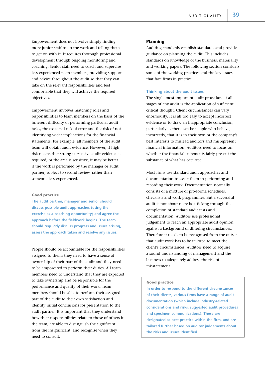Empowerment does not involve simply finding more junior staff to do the work and telling them to get on with it. It requires thorough professional development through ongoing monitoring and coaching. Senior staff need to coach and supervise less experienced team members, providing support and advice throughout the audit so that they can take on the relevant responsibilities and feel comfortable that they will achieve the required objectives.

Empowerment involves matching roles and responsibilities to team members on the basis of the inherent difficulty of performing particular audit tasks, the expected risk of error and the risk of not identifying wider implications for the financial statements. For example, all members of the audit team will obtain audit evidence. However, if high risk means that strong persuasive audit evidence is required, or the area is sensitive, it may be better if the work is performed by the manager or audit partner, subject to second review, rather than someone less experienced.

#### **Good practice**

**The audit partner, manager and senior should discuss possible audit approaches (using the exercise as a coaching opportunity) and agree the approach before the fieldwork begins. The team should regularly discuss progress and issues arising, assess the approach taken and resolve any issues.**

People should be accountable for the responsibilities assigned to them; they need to have a sense of ownership of their part of the audit and they need to be empowered to perform their duties. All team members need to understand that they are expected to take ownership and be responsible for the performance and quality of their work. Team members should be able to perform their assigned part of the audit to their own satisfaction and identify initial conclusions for presentation to the audit partner. It is important that they understand how their responsibilities relate to those of others in the team, are able to distinguish the significant from the insignificant, and recognise when they need to consult.

#### **Planning**

Auditing standards establish standards and provide guidance on planning the audit. This includes standards on knowledge of the business, materiality and working papers. The following section considers some of the working practices and the key issues that face firms in practice.

#### **Thinking about the audit issues**

The single most important audit procedure at all stages of any audit is the application of sufficient critical thought. Client circumstances can vary enormously. It is all too easy to accept incorrect evidence or to draw an inappropriate conclusion, particularly as there can be people who believe, incorrectly, that it is in their own or the company's best interests to mislead auditors and misrepresent financial information. Auditors need to focus on whether the financial statements fairly present the substance of what has occurred.

Most firms use standard audit approaches and documentation to assist them in performing and recording their work. Documentation normally consists of a mixture of pro-forma schedules, checklists and work programmes. But a successful audit is not about mere box ticking through the completion of standard audit tests and documentation. Auditors use professional judgement to reach an appropriate audit opinion against a background of differing circumstances. Therefore it needs to be recognised from the outset that audit work has to be tailored to meet the client's circumstances. Auditors need to acquire a sound understanding of management and the business to adequately address the risk of misstatement.

#### **Good practice**

**In order to respond to the different circumstances of their clients, various firms have a range of audit documentation (which include industry-related considerations and risks, suggested audit procedures and specimen communications). These are designated as best practice within the firm, and are tailored further based on auditor judgements about the risks and issues identified.**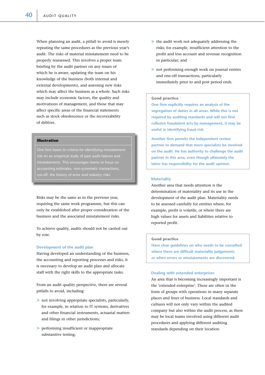When planning an audit, a pitfall to avoid is merely repeating the same procedures as the previous year's audit. The risks of material misstatement need to be properly reassessed. This involves a proper team briefing by the audit partner on any issues of which he is aware, updating the team on his knowledge of the business (both internal and external developments), and assessing new risks which may affect the business as a whole. Such risks may include economic factors, the quality and motivations of management, and those that may affect specific areas of the financial statements such as stock obsolescence or the recoverability of debtors.

## **Illustration**

One firm bases its criteria for identifying misstatement misstatements. This encourages teams to focus on accounting estimates, non-systematic transactions,

Risks may be the same as in the previous year, requiring the same work programme, but this can only be established after proper consideration of the business and the associated misstatement risks.

To achieve quality, audits should not be carried out by rote.

#### **Development of the audit plan**

Having developed an understanding of the business, the accounting and reporting processes and risks, it is necessary to develop an audit plan and allocate staff with the right skills to the appropriate tasks.

From an audit quality perspective, there are several pitfalls to avoid, including:

- **>** not involving appropriate specialists, particularly, for example, in relation to IT systems, derivatives and other financial instruments, actuarial matters and filings in other jurisdictions;
- **>** performing insufficient or inappropriate substantive testing;
- **>** the audit work not adequately addressing the risks; for example, insufficient attention to the profit and loss account and revenue recognition in particular; and
- **>** not performing enough work on journal entries and one-off transactions, particularly immediately prior to and post period ends.

#### **Good practice**

**One firm explicitly requires an analysis of the segregation of duties in all areas. While this is not required by auditing standards and will not find collusive fraudulent acts by management, it may be useful in identifying fraud risk.**

**Another firm permits the independent review partner to demand that more specialists be involved on the audit. He has authority to challenge the audit partner in this area, even though ultimately the latter has responsibility for the audit opinion.**

#### **Materiality**

Another area that needs attention is the determination of materiality and its use in the development of the audit plan. Materiality needs to be assessed carefully for entities where, for example, profit is volatile, or where there are high values for assets and liabilities relative to reported profit.

#### **Good practice**

**Have clear guidelines on who needs to be consulted where there are difficult materiality judgements or when errors or misstatements are discovered.**

#### **Dealing with extended enterprises**

An area that is becoming increasingly important is the 'extended enterprise'. These are often in the form of groups with operations in many separate places and lines of business. Local standards and cultures will not only vary within the audited company but also within the audit process, as there may be local teams involved using different audit procedures and applying different auditing standards depending on their location.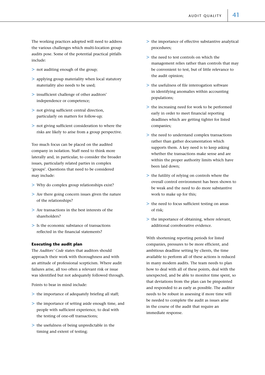The working practices adopted will need to address the various challenges which multi-location group audits pose. Some of the potential practical pitfalls include:

- **>** not auditing enough of the group;
- **>** applying group materiality when local statutory materiality also needs to be used;
- **>** insufficient challenge of other auditors' independence or competence;
- **>** not giving sufficient central direction, particularly on matters for follow-up;
- **>** not giving sufficient consideration to where the risks are likely to arise from a group perspective.

Too much focus can be placed on the audited company in isolation. Staff need to think more laterally and, in particular, to consider the broader issues, particularly related parties in complex 'groups'. Questions that need to be considered may include:

- **>** Why do complex group relationships exist?
- **>** Are there going concern issues given the nature of the relationships?
- **>** Are transactions in the best interests of the shareholders?
- **>** Is the economic substance of transactions reflected in the financial statements?

#### **Executing the audit plan**

The *Auditors' Code* states that auditors should approach their work with thoroughness and with an attitude of professional scepticism. Where audit failures arise, all too often a relevant risk or issue was identified but not adequately followed through.

Points to bear in mind include:

- **>** the importance of adequately briefing all staff;
- **>** the importance of setting aside enough time, and people with sufficient experience, to deal with the testing of one-off transactions;
- **>** the usefulness of being unpredictable in the timing and extent of testing;
- **>** the importance of effective substantive analytical procedures;
- **>** the need to test controls on which the management relies rather than controls that may be convenient to test, but of little relevance to the audit opinion;
- **>** the usefulness of file interrogation software in identifying anomalies within accounting populations;
- **>** the increasing need for work to be performed early in order to meet financial reporting deadlines which are getting tighter for listed companies;
- **>** the need to understand complex transactions rather than gather documentation which supports them. A key need is to keep asking whether the transactions make sense and are within the proper authority limits which have been laid down;
- **>** the futility of relying on controls where the overall control environment has been shown to be weak and the need to do more substantive work to make up for this;
- **>** the need to focus sufficient testing on areas of risk;
- **>** the importance of obtaining, where relevant, additional corroborative evidence.

With shortening reporting periods for listed companies, pressures to be more efficient, and ambitious deadline setting by clients, the time available to perform all of these actions is reduced in many modern audits. The team needs to plan how to deal with all of these points, deal with the unexpected, and be able to monitor time spent, so that deviations from the plan can be pinpointed and responded to as early as possible. The auditor needs to be robust in assessing if more time will be needed to complete the audit as issues arise in the course of the audit that require an immediate response.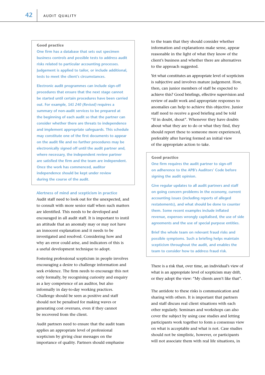#### **Good practice**

**One firm has a database that sets out specimen business controls and possible tests to address audit risks related to particular accounting processes. Judgement is applied to tailor, or include additional, tests to meet the client's circumstances.** 

**Electronic audit programmes can include sign-off procedures that ensure that the next stage cannot be started until certain procedures have been carried out. For example,** *SAS 240 (Revised)* **requires a summary of non-audit services to be prepared at the beginning of each audit so that the partner can consider whether there are threats to independence and implement appropriate safeguards. This schedule may constitute one of the first documents to appear on the audit file and no further procedures may be electronically signed off until the audit partner and, where necessary, the independent review partner are satisfied the firm and the team are independent. Once the work has commenced, auditor independence should be kept under review during the course of the audit.**

#### **Alertness of mind and scepticism in practice**

Audit staff need to look out for the unexpected, and to consult with more senior staff when such matters are identified. This needs to be developed and encouraged in all audit staff. It is important to instil an attitude that an anomaly may or may not have an innocent explanation and it needs to be investigated and resolved. Considering how and why an error could arise, and indicators of this is a useful development technique to adopt.

Fostering professional scepticism in people involves encouraging a desire to challenge information and seek evidence. The firm needs to encourage this not only formally, by recognising curiosity and enquiry as a key competence of an auditor, but also informally in day-to-day working practices. Challenge should be seen as positive and staff should not be penalised for making waves or generating cost overruns, even if they cannot be recovered from the client.

Audit partners need to ensure that the audit team applies an appropriate level of professional scepticism by giving clear messages on the importance of quality. Partners should emphasise

to the team that they should consider whether information and explanations make sense, appear reasonable in the light of what they know of the client's business and whether there are alternatives to the approach suggested.

Yet what constitutes an appropriate level of scepticism is subjective and involves mature judgement. How, then, can junior members of staff be expected to achieve this? Good briefings, effective supervision and review of audit work and appropriate responses to anomalies can help to achieve this objective. Junior staff need to receive a good briefing and be told "If in doubt, shout". Whenever they have doubts about what they are to do or what they find, they should report these to someone more experienced, preferably after having formed an initial view of the appropriate action to take.

#### **Good practice**

**One firm requires the audit partner to sign-off on adherence to the APB's Auditors' Code before signing the audit opinion.**

**Give regular updates to all audit partners and staff on going concern problems in the economy, current accounting issues (including reports of alleged restatements), and what should be done to counter them. Some recent examples include inflated revenue, expenses wrongly capitalised, the use of side agreements and the use of special purpose entities.**

**Brief the whole team on relevant fraud risks and possible symptoms. Such a briefing helps maintain scepticism throughout the audit, and enables the team to consider how to address fraud risk.**

There is a risk that, over time, an individual's view of what is an appropriate level of scepticism may drift, or they adopt the view: "My clients aren't like that".

The antidote to these risks is communication and sharing with others. It is important that partners and staff discuss real client situations with each other regularly. Seminars and workshops can also cover the subject by using case studies and letting participants work together to form a consensus view on what is acceptable and what is not. Case studies should not be simplistic, however, or participants will not associate them with real life situations, in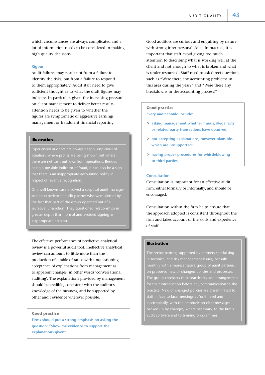which circumstances are always complicated and a lot of information needs to be considered in making high quality decisions.

### **Rigour**

Audit failures may result not from a failure to identify the risks, but from a failure to respond to them appropriately. Audit staff need to give sufficient thought as to what the draft figures may indicate. In particular, given the increasing pressure on client management to deliver better results, attention needs to be given to whether the figures are symptomatic of aggressive earnings management or fraudulent financial reporting.

# **Illustration**

Experienced auditors are always deeply suspicious of situations where profits are being shown but where there are net cash outflows from operations. Besides being a possible indicator of fraud, it can also be a sign that there is an inappropriate accounting policy in respect of revenue recognition.

One well-known case involved a sceptical audit manager and an experienced audit partner who were alerted by the fact that part of the group operated out of a secretive jurisdiction. They questioned relationships in greater depth than normal and avoided signing an inappropriate opinion.

The effective performance of predictive analytical review is a powerful audit tool. Ineffective analytical review can amount to little more than the production of a table of ratios with unquestioning acceptance of explanations from management as to apparent changes, in other words 'conversational auditing'. The explanations provided by management should be credible, consistent with the auditor's knowledge of the business, and be supported by other audit evidence wherever possible.

#### **Good practice**

**Firms should put a strong emphasis on asking the question: "Show me evidence to support the explanations given".** 

Good auditors are curious and enquiring by nature with strong inter-personal skills. In practice, it is important that staff avoid giving too much attention to describing what is working well at the client and not enough to what is broken and what is under-resourced. Staff need to ask direct questions such as "Were there any accounting problems in this area during the year?" and "Were there any breakdowns in the accounting process?"

#### **Good practice**

**Every audit should include:**

- **> asking management whether frauds, illegal acts or related party transactions have occurred;**
- **> not accepting explanations, however plausible, which are unsupported;**
- **> having proper procedures for whistleblowing to third parties.**

#### **Consultation**

Consultation is important for an effective audit firm, either formally or informally, and should be encouraged.

Consultation within the firm helps ensure that the approach adopted is consistent throughout the firm and takes account of the skills and experience of staff.

# **Illustration**

The senior partner, supported by partners specialising in technical and risk management issues, consults monthly with a representative group of audit partners on proposed new or changed policies and processes. The group considers their practicality and arrangements practice. New or changed policies are disseminated to staff in face-to-face meetings at 'unit' level and electronically, with the emphasis on clear messages backed up by changes, where necessary, to the firm's audit software and to training programmes.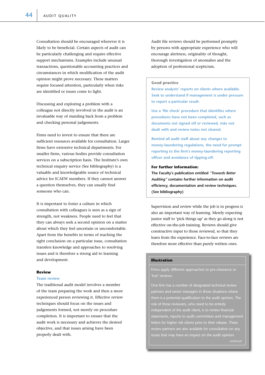Consultation should be encouraged wherever it is likely to be beneficial. Certain aspects of audit can be particularly challenging and require effective support mechanisms. Examples include unusual transactions, questionable accounting practices and circumstances in which modification of the audit opinion might prove necessary. These matters require focused attention, particularly when risks are identified or issues come to light.

Discussing and exploring a problem with a colleague not directly involved in the audit is an invaluable way of standing back from a problem and checking personal judgements.

Firms need to invest to ensure that there are sufficient resources available for consultation. Larger firms have extensive technical departments. For smaller firms, various bodies provide consultation services on a subscription basis. The Institute's own technical enquiry service (See bibliography) is a valuable and knowledgeable source of technical advice for ICAEW members. If they cannot answer a question themselves, they can usually find someone who can.

It is important to foster a culture in which consultation with colleagues is seen as a sign of strength, not weakness. People need to feel that they can always seek a second opinion on a matter about which they feel uncertain or uncomfortable. Apart from the benefits in terms of reaching the right conclusion on a particular issue, consultation transfers knowledge and approaches to resolving issues and is therefore a strong aid to learning and development.

#### **Review**

#### **Team review**

The traditional audit model involves a member of the team preparing the work and then a more experienced person reviewing it. Effective review techniques should focus on the issues and judgements formed, not merely on procedure completion. It is important to ensure that the audit work is necessary and achieves the desired objective, and that issues arising have been properly dealt with.

Audit file reviews should be performed promptly by persons with appropriate experience who will encourage alertness, originality of thought, thorough investigation of anomalies and the adoption of professional scepticism.

#### **Good practice**

**Review analysts' reports on clients where available. Seek to understand if management is under pressure to report a particular result.**

**Use a 'file check' procedure that identifies where procedures have not been completed, such as documents not signed off or reviewed, risks not dealt with and review notes not cleared.**

**Remind all audit staff about any changes to money-laundering regulations, the need for prompt reporting to the firm's money-laundering reporting officer and avoidance of tipping-off.** 

#### **For further information:**

**The Faculty's publication entitled** *"Towards Better Auditing"* **contains further information on audit efficiency, documentation and review techniques. (See bibliography)**

Supervision and review while the job is in progress is also an important way of learning. Merely expecting junior staff to 'pick things up' as they go along is not effective on-the-job training. Reviews should give constructive input to those reviewed, so that they learn from the experience. Face-to-face reviews are therefore more effective than purely written ones.

# **Illustration**

Firms apply different approaches to pre-clearance or 'hot' reviews.

One firm has a number of designated technical review partners and senior managers in those situations where there is a potential qualification to the audit opinion. The independent of the audit client, is to review financial statements, reports to audit committees and management letters for higher risk clients prior to their release. These issues that may have an impact on the audit opinion.

*continued*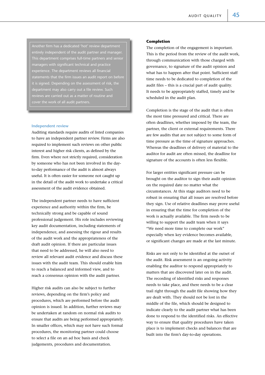Another firm has a dedicated 'hot' review department entirely independent of the audit partner and manager. This department comprises full-time partners and senior managers with significant technical and practice experience. The department reviews all financial it is signed. Depending on the assessment of risk, the department may also carry out a file review. Such

#### **Independent review**

Auditing standards require audits of listed companies to have an independent partner review. Firms are also required to implement such reviews on other public interest and higher risk clients, as defined by the firm. Even where not strictly required, consideration by someone who has not been involved in the dayto-day performance of the audit is almost always useful. It is often easier for someone not caught up in the detail of the audit work to undertake a critical assessment of the audit evidence obtained.

The independent partner needs to have sufficient experience and authority within the firm, be technically strong and be capable of sound professional judgement. His role includes reviewing key audit documentation, including statements of independence, and assessing the rigour and results of the audit work and the appropriateness of the draft audit opinion. If there are particular issues that need to be addressed, he will also need to review all relevant audit evidence and discuss these issues with the audit team. This should enable him to reach a balanced and informed view, and to reach a consensus opinion with the audit partner.

Higher risk audits can also be subject to further reviews, depending on the firm's policy and procedures, which are performed before the audit opinion is issued. In addition, further reviews may be undertaken at random on normal risk audits to ensure that audits are being performed appropriately. In smaller offices, which may not have such formal procedures, the monitoring partner could choose to select a file on an ad hoc basis and check judgements, procedures and documentation.

#### **Completion**

The completion of the engagement is important. This is the period from the review of the audit work, through communication with those charged with governance, to signature of the audit opinion and what has to happen after that point. Sufficient staff time needs to be dedicated to completion of the audit files – this is a crucial part of audit quality. It needs to be appropriately staffed, timely and be scheduled in the audit plan.

Completion is the stage of the audit that is often the most time pressured and critical. There are often deadlines, whether imposed by the team, the partner, the client or external requirements. There are few audits that are not subject to some form of time pressure as the time of signature approaches. Whereas the deadlines of delivery of material to the auditor for audit are often missed, the deadline for signature of the accounts is often less flexible.

For larger entities significant pressure can be brought on the auditor to sign their audit opinion on the required date no matter what the circumstances. At this stage auditors need to be robust in ensuring that all issues are resolved before they sign. Use of relative deadlines may prove useful in ensuring that the time for completion of the work is actually available. The firm needs to be willing to support the audit team when it says "We need more time to complete our work" especially when key evidence becomes available, or significant changes are made at the last minute.

Risks are not only to be identified at the outset of the audit. Risk assessment is an ongoing activity enabling the auditor to respond appropriately to matters that are discovered later on in the audit. The recording of identified risks and responses needs to take place, and there needs to be a clear trail right through the audit file showing how they are dealt with. They should not be lost in the middle of the file, which should be designed to indicate clearly to the audit partner what has been done to respond to the identified risks. An effective way to ensure that quality procedures have taken place is to implement checks and balances that are built into the firm's day-to-day operations.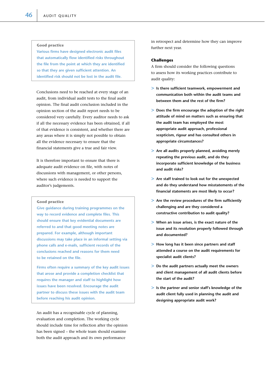#### **Good practice**

**Various firms have designed electronic audit files that automatically flow identified risks throughout the file from the point at which they are identified so that they are given sufficient attention. An identified risk should not be lost in the audit file.** 

Conclusions need to be reached at every stage of an audit, from individual audit tests to the final audit opinion. The final audit conclusion included in the opinion section of the audit report needs to be considered very carefully. Every auditor needs to ask if all the necessary evidence has been obtained, if all of that evidence is consistent, and whether there are any areas where it is simply not possible to obtain all the evidence necessary to ensure that the financial statements give a true and fair view.

It is therefore important to ensure that there is adequate audit evidence on file, with notes of discussions with management, or other persons, where such evidence is needed to support the auditor's judgements.

#### **Good practice**

**Give guidance during training programmes on the way to record evidence and complete files. This should ensure that key evidential documents are referred to and that good meeting notes are prepared. For example, although important discussions may take place in an informal setting via phone calls and e-mails, sufficient records of the conclusions reached and reasons for them need to be retained on the file.**

**Firms often require a summary of the key audit issues that arose and provide a completion checklist that requires the manager and staff to highlight how issues have been resolved. Encourage the audit partner to discuss these issues with the audit team before reaching his audit opinion.**

An audit has a recognisable cycle of planning, evaluation and completion. The working cycle should include time for reflection after the opinion has been signed – the whole team should examine both the audit approach and its own performance

in retrospect and determine how they can improve further next year.

#### **Challenges**

A firm should consider the following questions to assess how its working practices contribute to audit quality:

- **> Is there sufficient teamwork, empowerment and communication both within the audit teams and between them and the rest of the firm?**
- **> Does the firm encourage the adoption of the right attitude of mind on matters such as ensuring that the audit team has employed the most appropriate audit approach, professional scepticism, rigour and has consulted others in appropriate circumstances?**
- **> Are all audits properly planned, avoiding merely repeating the previous audit, and do they incorporate sufficient knowledge of the business and audit risks?**
- **> Are staff trained to look out for the unexpected and do they understand how misstatements of the financial statements are most likely to occur?**
- **> Are the review procedures of the firm sufficiently challenging and are they considered a constructive contribution to audit quality?**
- **> When an issue arises, is the exact nature of the issue and its resolution properly followed through and documented?**
- **> How long has it been since partners and staff attended a course on the audit requirements for specialist audit clients?**
- **> Do the audit partners actually meet the owners and client management of all audit clients before the start of the audit?**
- **> Is the partner and senior staff's knowledge of the audit client fully used in planning the audit and designing appropriate audit work?**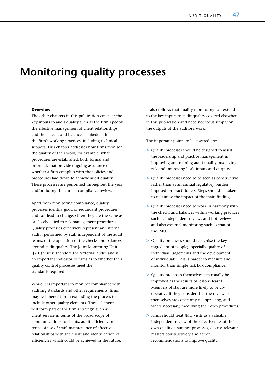# **Monitoring quality processes**

#### **Overview**

The other chapters in this publication consider the key inputs to audit quality such as the firm's people, the effective management of client relationships and the 'checks and balances' embedded in the firm's working practices, including technical support. This chapter addresses how firms monitor the quality of their work; for example, what procedures are established, both formal and informal, that provide ongoing assurance of whether a firm complies with the policies and procedures laid down to achieve audit quality. These processes are performed throughout the year and/or during the annual compliance review.

Apart from monitoring compliance, quality processes identify good or redundant procedures and can lead to change. Often they are the same as, or closely allied to risk management procedures. Quality processes effectively represent an 'internal audit', performed by staff independent of the audit teams, of the operation of the checks and balances around audit quality. The Joint Monitoring Unit (JMU) visit is therefore the 'external audit' and is an important indicator to firms as to whether their quality control processes meet the standards required.

While it is important to monitor compliance with auditing standards and other requirements, firms may well benefit from extending the process to include other quality elements. These elements will form part of the firm's strategy, such as client service in terms of the broad scope of communications to clients, audit efficiency in terms of use of staff, maintenance of effective relationships with the client and identification of efficiencies which could be achieved in the future. It also follows that quality monitoring can extend to the key inputs to audit quality covered elsewhere in this publication and need not focus simply on the outputs of the auditor's work.

The important points to be covered are:

- **>** Quality processes should be designed to assist the leadership and practice management in improving and refining audit quality, managing risk and improving both inputs and outputs.
- **>** Quality processes need to be seen as constructive rather than as an annual regulatory burden imposed on practitioners. Steps should be taken to maximise the impact of the main findings.
- **>** Quality processes need to work in harmony with the checks and balances within working practices such as independent reviews and hot reviews, and also external monitoring such as that of the JMU.
- **>** Quality processes should recognise the key ingredient of people; especially quality of individual judgements and the development of individuals. This is harder to measure and monitor than simple tick box compliance.
- **>** Quality processes themselves can usually be improved as the results of lessons learnt. Members of staff are more likely to be cooperative if they consider that the reviewers themselves are constantly re-appraising, and where necessary, modifying their own procedures.
- **>** Firms should treat JMU visits as a valuable independent review of the effectiveness of their own quality assurance processes, discuss relevant matters constructively and act on recommendations to improve quality.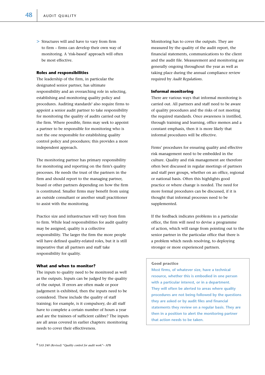**>** Structures will and have to vary from firm to firm – firms can develop their own way of monitoring. A 'risk-based' approach will often be most effective.

# **Roles and responsibilities**

The leadership of the firm, in particular the designated senior partner, has ultimate responsibility and an overarching role in selecting, establishing and monitoring quality policy and procedures. Auditing standards<sup>6</sup> also require firms to appoint a senior audit partner to take responsibility for monitoring the quality of audits carried out by the firm. Where possible, firms may seek to appoint a partner to be responsible for monitoring who is not the one responsible for establishing quality control policy and procedures; this provides a more independent approach.

The monitoring partner has primary responsibility for monitoring and reporting on the firm's quality processes. He needs the trust of the partners in the firm and should report to the managing partner, board or other partners depending on how the firm is constituted. Smaller firms may benefit from using an outside consultant or another small practitioner to assist with the monitoring.

Practice size and infrastructure will vary from firm to firm. While lead responsibilities for audit quality may be assigned, quality is a collective responsibility. The larger the firm the more people will have defined quality-related roles, but it is still imperative that all partners and staff take responsibility for quality.

### **What and when to monitor?**

The inputs to quality need to be monitored as well as the outputs. Inputs can be judged by the quality of the output. If errors are often made or poor judgement is exhibited, then the inputs need to be considered. These include the quality of staff training; for example, is it compulsory, do all staff have to complete a certain number of hours a year and are the trainees of sufficient calibre? The inputs are all areas covered in earlier chapters: monitoring needs to cover their effectiveness.

Monitoring has to cover the outputs. They are measured by the quality of the audit report, the financial statements, communications to the client and the audit file. Measurement and monitoring are generally ongoing throughout the year as well as taking place during the annual compliance review required by *Audit Regulations*.

#### **Informal monitoring**

There are various ways that informal monitoring is carried out. All partners and staff need to be aware of quality procedures and the risks of not meeting the required standards. Once awareness is instilled, through training and learning, office memos and a constant emphasis, then it is more likely that informal procedures will be effective.

Firms' procedures for ensuring quality and effective risk management need to be embedded in the culture. Quality and risk management are therefore often best discussed in regular meetings of partners and staff peer groups, whether on an office, regional or national basis. Often this highlights good practice or where change is needed. The need for more formal procedures can be discussed, if it is thought that informal processes need to be supplemented.

If the feedback indicates problems in a particular office, the firm will need to devise a programme of action, which will range from pointing out to the senior partner in the particular office that there is a problem which needs resolving, to deploying stronger or more experienced partners.

#### **Good practice**

**Most firms, of whatever size, have a technical resource, whether this is embodied in one person with a particular interest, or in a department. They will often be alerted to areas where quality procedures are not being followed by the questions they are asked or by audit files and financial statements they review on a regular basis. They are then in a position to alert the monitoring partner that action needs to be taken.**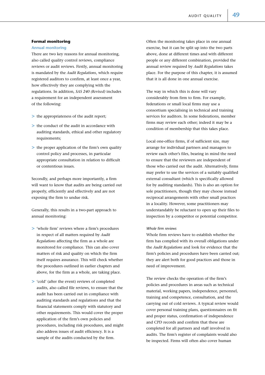### **Formal monitoring**

### **Annual monitoring**

There are two key reasons for annual monitoring, also called quality control reviews, compliance reviews or audit reviews. Firstly, annual monitoring is mandated by the *Audit Regulations*, which require registered auditors to confirm, at least once a year, how effectively they are complying with the regulations. In addition, *SAS 240 (Revised)* includes a requirement for an independent assessment of the following:

- **>** the appropriateness of the audit report;
- **>** the conduct of the audit in accordance with auditing standards, ethical and other regulatory requirements;
- **>** the proper application of the firm's own quality control policy and processes, in particular appropriate consultation in relation to difficult or contentious issues.

Secondly, and perhaps more importantly, a firm will want to know that audits are being carried out properly, efficiently and effectively and are not exposing the firm to undue risk.

Generally, this results in a two-part approach to annual monitoring:

- **>** 'whole firm' reviews where a firm's procedures in respect of all matters required by *Audit Regulations* affecting the firm as a whole are monitored for compliance. This can also cover matters of risk and quality on which the firm itself requires assurance. This will check whether the procedures outlined in earlier chapters and above, for the firm as a whole, are taking place.
- **>** 'cold' (after the event) reviews of completed audits, also called file reviews, to ensure that the audit has been carried out in compliance with auditing standards and regulations and that the financial statements comply with statutory and other requirements. This would cover the proper application of the firm's own policies and procedures, including risk procedures, and might also address issues of audit efficiency. It is a sample of the audits conducted by the firm.

Often the monitoring takes place in one annual exercise, but it can be split up into the two parts above, done at different times and with different people or any different combination, provided the annual review required by *Audit Regulations* takes place. For the purpose of this chapter, it is assumed that it is all done in one annual exercise.

The way in which this is done will vary considerably from firm to firm. For example, federations or small local firms may use a consortium specialising in technical and training services for auditors. In some federations, member firms may review each other; indeed it may be a condition of membership that this takes place.

Local one-office firms, if of sufficient size, may arrange for individual partners and managers to review each other's files, bearing in mind the need to ensure that the reviewers are independent of those who carried out the audit. Alternatively, firms may prefer to use the services of a suitably qualified external consultant (which is specifically allowed for by auditing standards). This is also an option for sole practitioners, though they may choose instead reciprocal arrangements with other small practices in a locality. However, some practitioners may understandably be reluctant to open up their files to inspection by a competitor or potential competitor.

#### *Whole firm reviews*

Whole firm reviews have to establish whether the firm has complied with its overall obligations under the *Audit Regulations* and look for evidence that the firm's policies and procedures have been carried out; they are alert both for good practices and those in need of improvement.

The review checks the operation of the firm's policies and procedures in areas such as technical material, working papers, independence, personnel, training and competence, consultation, and the carrying out of cold reviews. A typical review would cover personal training plans, questionnaires on fit and proper status, confirmation of independence and CPD records and confirm that these are completed for all partners and staff involved in audits. The firm's register of complaints would also be inspected. Firms will often also cover human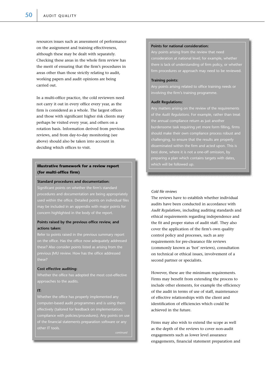resources issues such as assessment of performance on the assignment and training effectiveness, although these may be dealt with separately. Checking these areas in the whole firm review has the merit of ensuring that the firm's procedures in areas other than those strictly relating to audit, working papers and audit opinions are being carried out.

In a multi-office practice, the cold reviewers need not carry it out in every office every year, as the firm is considered as a whole. The largest offices and those with significant higher risk clients may perhaps be visited every year, and others on a rotation basis. Information derived from previous reviews, and from day-to-day monitoring (see above) should also be taken into account in deciding which offices to visit.

# **Illustrative framework for a review report Illustrative framework for a review report**  $\Box$  which will be followed up. **(for multi-office firm)**

### **Standard procedures and documentation:**

Significant points on whether the firm's standard procedures and documentation are being appropriately used within the office. Detailed points on individual files may be included in an appendix with major points for concern highlighted in the body of the report.

# **Points raised by the previous office review, and actions taken:**

on the office. Has the office now adequately addressed these? Also consider points listed as arising from the previous JMU review. How has the office addressed these?

#### **Cost effective auditing:**

Whether the office has adopted the most cost-effective approaches to the audits.

# **IT:**

Whether the office has properly implemented any computer-based audit programmes and is using them effectively (tailored for feedback on implementation; compliance with policies/procedures). Any points on use of the financial statements preparation software or any

*continued*

#### **Points for national consideration:**

consideration at national level; for example, whether there is lack of understanding of firm policy, or whether firm procedures or approach may need to be reviewed.

#### **Training points:**

involving the firm's training programme.

#### **Audit Regulations:**

of the *Audit Regulations*. For example, rather than treat the annual compliance return as just another burdensome task requiring yet more form filling, firms should make their own compliance process robust and challenging, to ensure that the results are properly disseminated within the firm and acted upon. This is preparing a plan which contains targets with dates,

#### *Cold file reviews*

The reviews have to establish whether individual audits have been conducted in accordance with *Audit Regulations*, including auditing standards and ethical requirements regarding independence and the fit and proper status of audit staff. They also cover the application of the firm's own quality control policy and processes, such as any requirements for pre-clearance file reviews (commonly known as 'hot' reviews), consultation on technical or ethical issues, involvement of a second partner or specialists.

However, these are the minimum requirements. Firms may benefit from extending the process to include other elements, for example the efficiency of the audit in terms of use of staff, maintenance of effective relationships with the client and identification of efficiencies which could be achieved in the future.

Firms may also wish to extend the scope as well as the depth of the reviews to cover non-audit engagements such as lower level assurance engagements, financial statement preparation and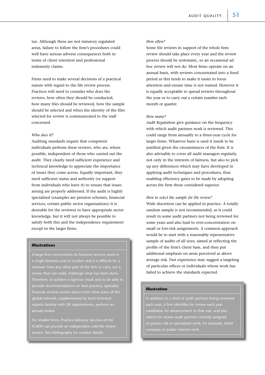tax. Although these are not statutory regulated areas, failure to follow the firm's procedures could well have serious adverse consequences both in terms of client retention and professional indemnity claims.

Firms need to make several decisions of a practical nature with regard to the file review process. Practices will need to consider who does the reviews, how often they should be conducted, how many files should be reviewed, how the sample should be selected and when the identity of the files selected for review is communicated to the staff concerned.

### *Who does it?*

Auditing standards require that competent individuals perform these reviews, who are, where possible, independent of those who carried out the audit. They clearly need sufficient experience and technical knowledge to appreciate the importance of issues they come across. Equally important, they need sufficient status and authority (or support from individuals who have it) to ensure that issues arising are properly addressed. If the audit is highly specialised (examples are pension schemes, financial services, certain public sector organisations) it is desirable for the reviewer to have appropriate sector knowledge, but it will not always be possible to satisfy both this and the independence requirement except in the larger firms.

# **Illustrations**

A large firm concentrates its financial services work in a single business unit in London and it is difficult for a review that can really challenge what has been done. Therefore, to achieve a rigorous result and to be able to provide recommendations on best practice, specialist global network, supplemented by local technical experts familiar with UK requirements, perform an annual review.

For smaller firms, Practice Advisory Services of the ICAEW can provide an independent cold file review service. See bibliography for contact details.

#### *How often?*

Some file reviews in support of the whole firm review should take place every year and the review process should be systematic, so an occasional ad hoc review will not do. Most firms operate on an annual basis, with reviews concentrated into a fixed period as this tends to make it easier to focus attention and ensure time is not wasted. However it is equally acceptable to spread reviews throughout the year or to carry out a certain number each month or quarter.

#### *How many?*

*Audit Regulations* give guidance on the frequency with which audit partners work is reviewed. This could range from annually to a three-year cycle for larger firms. Whatever basis is used it needs to be justified given the circumstances of the firm. It is also advisable to cover all audit managers regularly, not only in the interests of fairness, but also to pick up any differences which may have developed in applying audit techniques and procedures, thus enabling efficiency gains to be made by adopting across the firm those considered superior.

#### *How to select the sample for file review?*

Wide discretion can be applied in practice. A totally random sample is not recommended, as it could result in some audit partners not being reviewed for some years and also lead to over-concentration on small or low-risk assignments. A common approach would be to start with a reasonably representative sample of audits of all sizes, aimed at reflecting the profile of the firm's client base, and then put additional emphasis on areas perceived as above average risk. Past experience may suggest a targeting of particular offices or individuals whose work has failed to achieve the standards expected.

### **Illustration**

candidates for advancement to that role, and also selects for review audit partners recently assigned to greater risk or specialised work; for example, listed company or public interest work.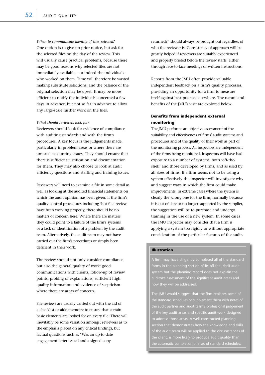*When to communicate identity of files selected?* One option is to give no prior notice, but ask for the selected files on the day of the review. This will usually cause practical problems, because there may be good reasons why selected files are not immediately available – or indeed the individuals who worked on them. Time will therefore be wasted making substitute selections, and the balance of the original selection may be upset. It may be more efficient to notify the individuals concerned a few days in advance, but not so far in advance to allow any large-scale further work on the files.

#### *What should reviewers look for?*

Reviewers should look for evidence of compliance with auditing standards and with the firm's procedures. A key focus is the judgements made, particularly in problem areas or where there are unusual accounting issues. They should ensure that there is sufficient justification and documentation for them. They may also choose to look at audit efficiency questions and staffing and training issues.

Reviewers will need to examine a file in some detail as well as looking at the audited financial statements on which the audit opinion has been given. If the firm's quality control procedures including 'hot file' review have been working properly, there should be no matters of concern here. Where there are matters, they could point to a failure of the firm's systems or a lack of identification of a problem by the audit team. Alternatively, the audit team may not have carried out the firm's procedures or simply been deficient in their work.

The review should not only consider compliance but also the general quality of work: good communications with clients, follow-up of review points, probing of explanations, sufficient high quality information and evidence of scepticism where there are areas of concern.

File reviews are usually carried out with the aid of a checklist or aide-memoire to ensure that certain basic elements are looked for on every file. There will inevitably be some variation amongst reviewers as to the emphasis placed on any critical findings, but factual questions such as "Was an up-to-date engagement letter issued and a signed copy

returned?" should always be brought out regardless of who the reviewer is. Consistency of approach will be greatly helped if reviewers are suitably experienced and properly briefed before the review starts, either through face-to-face meetings or written instructions.

Reports from the JMU often provide valuable independent feedback on a firm's quality processes, providing an opportunity for a firm to measure itself against best practice elsewhere. The nature and benefits of the JMU's visit are explored below.

# **Benefits from independent external monitoring**

The JMU performs an objective assessment of the suitability and effectiveness of firms' audit systems and procedures and of the quality of their work as part of the monitoring process. All inspectors are independent of the firms being monitored. Inspectors will have had exposure to a number of systems, both 'off-theshelf' and those developed by firms, and as used by all sizes of firms. If a firm seems not to be using a system effectively the inspector will investigate why and suggest ways in which the firm could make improvements. In extreme cases where the system is clearly the wrong one for the firm, normally because it is out of date or no longer supported by the supplier, the suggestion will be to purchase and undergo training in the use of a new system. In some cases the JMU inspector may consider that a firm is applying a system too rigidly or without appropriate consideration of the particular features of the audit.

#### **Illustration**

A firm may have diligently completed all of the standard system but the planning record does not explain the auditor's assessment of the significant audit areas and how they will be addressed.

The JMU would suggest that the firm replaces some of the standard schedules or supplement them with notes of the audit partner and audit team's professional judgement of the key audit areas and specific audit work designed to address those areas. A well-constructed planning section that demonstrates how the knowledge and skills of the audit team will be applied to the circumstances of the automatic completion of a set of standard schedules.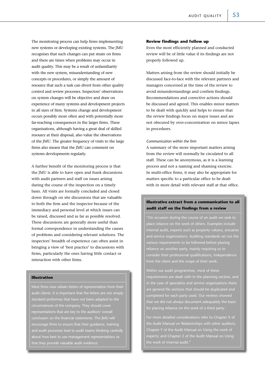The monitoring process can help firms implementing new systems or developing existing systems. The JMU recognises that such changes can put strain on firms and there are times when problems may occur in audit quality. This may be a result of unfamiliarity with the new system, misunderstanding of new concepts or procedures, or simply the amount of resource that such a task can divert from other quality control and review processes. Inspectors' observations on system changes will be objective and draw on experience of many systems and development projects in all sizes of firm. Systems change and development occurs possibly more often and with potentially more far-reaching consequences in the larger firms. These organisations, although having a great deal of skilled resource at their disposal, also value the observations of the JMU. The greater frequency of visits to the large firms also means that the JMU can comment on systems developments regularly.

A further benefit of the monitoring process is that the JMU is able to have open and frank discussions with audit partners and staff on issues arising during the course of the inspection on a timely basis. All visits are formally concluded and closed down through on site discussions that are valuable to both the firm and the inspector because of the immediacy and personal level at which issues can be raised, discussed and as far as possible resolved. These discussions are generally more useful than formal correspondence in understanding the causes of problems and considering relevant solutions. The inspectors' breadth of experience can often assist in bringing a view of 'best practice' to discussions with firms, particularly the ones having little contact or interaction with other firms.

### **Illustration**

Most firms now obtain letters of representation from their audit clients. It is important that the letters are not simply standard proformas that have not been adapted to the circumstances of the company. They should cover representations that are key to the auditors' overall conclusion on the financial statements. The JMU will encourage firms to ensure that their guidance, training about how best to use management representations so

#### **Review findings and follow up**

Even the most efficiently planned and conducted review will be of little value if its findings are not properly followed up.

Matters arising from the review should initially be discussed face-to-face with the relevant partners and managers concerned at the time of the review to avoid misunderstandings and confirm findings. Recommendations and corrective actions should be discussed and agreed. This enables minor matters to be dealt with quickly and helps to ensure that the review findings focus on major issues and are not obscured by over-concentration on minor lapses in procedures.

#### *Communication within the firm*

A summary of the more important matters arising from the review will normally be circulated to all staff. These can be anonymous, as it is a learning process and not a naming and shaming exercise. In multi-office firms, it may also be appropriate for matters specific to a particular office to be dealt with in more detail with relevant staff at that office.

# **Illustrative extract from a communication to all audit staff on the findings from a review**

"On occasion during the course of an audit we seek to place reliance on the work of others. Examples include internal audit, experts such as property valuers, actuaries and service organisations. Auditing standards set out the reliance on another party, mainly requiring us to consider their professional qualifications, independence from the client and the scope of their work.

Within our audit programmes, most of these requirements are dealt with in the planning section, and in the case of specialists and service organisations there are general file sections that should be duplicated and completed for each party used. Our reviews showed that we did not always document adequately the basis for placing reliance on the work of a third party.

For more detailed considerations refer to Chapter X of the Audit Manual on Relationships with other auditors; Chapter Y of the Audit Manual on Using the work of experts; and Chapter Z of the Audit Manual on Using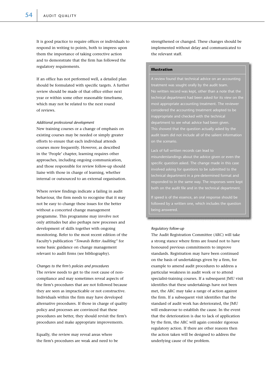It is good practice to require offices or individuals to respond in writing to points, both to impress upon them the importance of taking corrective action and to demonstrate that the firm has followed the regulatory requirements.

If an office has not performed well, a detailed plan should be formulated with specific targets. A further review should be made of that office either next year or within some other reasonable timeframe, which may not be related to the next round of reviews.

#### *Additional professional development*

New training courses or a change of emphasis on existing courses may be needed or simply greater efforts to ensure that each individual attends courses more frequently. However, as described in the 'People' chapter, learning requires other approaches, including ongoing communication, and those responsible for review follow-up should liaise with those in charge of learning, whether internal or outsourced to an external organisation.

Where review findings indicate a failing in audit behaviour, the firm needs to recognise that it may not be easy to change these issues for the better without a concerted change management programme. This programme may involve not only attitudes but also perhaps new processes and development of skills together with ongoing monitoring. Refer to the most recent edition of the Faculty's publication *"Towards Better Auditing"* for some basic guidance on change management relevant to audit firms (see bibliography).

*Changes to the firm's policies and procedures* The review needs to get to the root cause of noncompliance and may sometimes reveal aspects of the firm's procedures that are not followed because they are seen as impracticable or not constructive. Individuals within the firm may have developed alternative procedures. If those in charge of quality policy and processes are convinced that these procedures are better, they should revisit the firm's procedures and make appropriate improvements.

Equally, the review may reveal areas where the firm's procedures are weak and need to be strengthened or changed. These changes should be implemented without delay and communicated to the relevant staff.

### **Illustration**

A review found that technical advice on an accounting treatment was sought orally by the audit team. No written record was kept, other than a note that the technical department had been asked for its view on the most appropriate accounting treatment. The reviewer considered the accounting treatment adopted to be inappropriate and checked with the technical department to see what advice had been given. This showed that the question actually asked by the on the scenario.

Lack of full written records can lead to misunderstandings about the advice given or even the specific question asked. The change made in this case technical department in a pre-determined format and responded to in the same way. The responses were kept both on the audit file and in the technical department.

If speed is of the essence, an oral response should be followed by a written one, which includes the question

#### *Regulatory follow-up*

The Audit Registration Committee (ARC) will take a strong stance where firms are found not to have honoured previous commitments to improve standards. Registration may have been continued on the basis of undertakings given by a firm, for example to amend audit procedures to address a particular weakness in audit work or to attend specialist-training courses. If a subsequent JMU visit identifies that these undertakings have not been met, the ARC may take a range of action against the firm. If a subsequent visit identifies that the standard of audit work has deteriorated, the JMU will endeavour to establish the cause. In the event that the deterioration is due to lack of application by the firm, the ARC will again consider rigorous regulatory action. If there are other reasons then the action taken will be designed to address the underlying cause of the problem.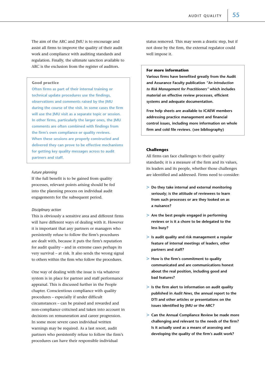The aim of the ARC and JMU is to encourage and assist all firms to improve the quality of their audit work and compliance with auditing standards and regulation. Finally, the ultimate sanction available to ARC is the exclusion from the register of auditors.

# **Good practice**

**Often firms as part of their internal training or technical update procedures use the findings, observations and comments raised by the JMU during the course of the visit. In some cases the firm will use the JMU visit as a separate topic or session. In other firms, particularly the larger ones, the JMU comments are often combined with findings from the firm's own compliance or quality reviews. When these sessions are properly constructed and delivered they can prove to be effective mechanisms for getting key quality messages across to audit partners and staff.**

### *Future planning*

If the full benefit is to be gained from quality processes, relevant points arising should be fed into the planning process on individual audit engagements for the subsequent period.

#### *Disciplinary action*

This is obviously a sensitive area and different firms will have different ways of dealing with it. However it is important that any partners or managers who persistently refuse to follow the firm's procedures are dealt with, because it puts the firm's reputation for audit quality – and in extreme cases perhaps its very survival – at risk. It also sends the wrong signal to others within the firm who follow the procedures.

One way of dealing with the issue is via whatever system is in place for partner and staff performance appraisal. This is discussed further in the People chapter. Conscientious compliance with quality procedures – especially if under difficult circumstances – can be praised and rewarded and non-compliance criticised and taken into account in decisions on remuneration and career progression. In some more severe cases individual written warnings may be required. As a last resort, audit partners who persistently refuse to follow the firm's procedures can have their responsible individual

status removed. This may seem a drastic step, but if not done by the firm, the external regulator could well impose it.

#### **For more information**

**Various firms have benefited greatly from the Audit and Assurance Faculty publication** *"An introduction to Risk Management for Practitioners"* **which includes material on effective review processes, efficient systems and adequate documentation.** 

**Free help sheets are available to ICAEW members addressing practice management and financial control issues, including more information on whole firm and cold file reviews. (see bibliography)**

#### **Challenges**

All firms can face challenges to their quality standards; it is a measure of the firm and its values, its leaders and its people, whether those challenges are identified and addressed. Firms need to consider:

- **> Do they take internal and external monitoring seriously; is the attitude of reviewees to learn from such processes or are they looked on as a nuisance?**
- **> Are the best people engaged in performing reviews or is it a chore to be delegated to the less busy?**
- **> Is audit quality and risk management a regular feature of internal meetings of leaders, other partners and staff?**
- **> How is the firm's commitment to quality communicated and are communications honest about the real position, including good and bad features?**
- **> Is the firm alert to information on audit quality published in** *Audit News***, the annual report to the DTI and other articles or presentations on the issues identified by JMU or the ARC?**
- **> Can the Annual Compliance Review be made more challenging and relevant to the needs of the firm? Is it actually used as a means of assessing and developing the quality of the firm's audit work?**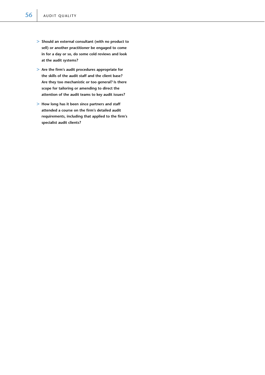- **> Should an external consultant (with no product to sell) or another practitioner be engaged to come in for a day or so, do some cold reviews and look at the audit systems?**
- **> Are the firm's audit procedures appropriate for the skills of the audit staff and the client base? Are they too mechanistic or too general? Is there scope for tailoring or amending to direct the attention of the audit teams to key audit issues?**
- **> How long has it been since partners and staff attended a course on the firm's detailed audit requirements, including that applied to the firm's specialist audit clients?**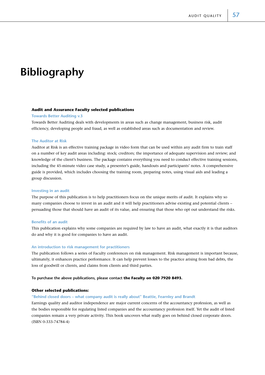# **Bibliography**

#### **Audit and Assurance Faculty selected publications**

#### **Towards Better Auditing v.3**

Towards Better Auditing deals with developments in areas such as change management, business risk, audit efficiency, developing people and fraud, as well as established areas such as documentation and review.

#### **The Auditor at Risk**

Auditor at Risk is an effective training package in video form that can be used within any audit firm to train staff on a number of key audit areas including: stock; creditors; the importance of adequate supervision and review; and knowledge of the client's business. The package contains everything you need to conduct effective training sessions, including the 45-minute video case study, a presenter's guide, handouts and participants' notes. A comprehensive guide is provided, which includes choosing the training room, preparing notes, using visual aids and leading a group discussion.

#### **Investing in an audit**

The purpose of this publication is to help practitioners focus on the unique merits of audit. It explains why so many companies choose to invest in an audit and it will help practitioners advise existing and potential clients – persuading those that should have an audit of its value, and ensuring that those who opt out understand the risks.

## **Benefits of an audit**

This publication explains why some companies are required by law to have an audit, what exactly it is that auditors do and why it is good for companies to have an audit.

#### **An introduction to risk management for practitioners**

The publication follows a series of Faculty conferences on risk management. Risk management is important because, ultimately, it enhances practice performance. It can help prevent losses to the practice arising from bad debts, the loss of goodwill or clients, and claims from clients and third parties.

#### **To purchase the above publications, please contact the Faculty on 020 7920 8493.**

# **Other selected publications:**

**"Behind closed doors – what company audit is really about" Beattie, Fearnley and Brandt**

Earnings quality and auditor independence are major current concerns of the accountancy profession, as well as the bodies responsible for regulating listed companies and the accountancy profession itself. Yet the audit of listed companies remain a very private activity. This book uncovers what really goes on behind closed corporate doors. (ISBN 0-333-74784-4)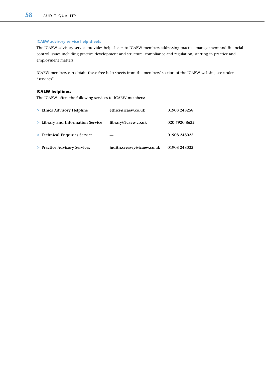# **ICAEW advisory service help sheets**

The ICAEW advisory service provides help sheets to ICAEW members addressing practice management and financial control issues including practice development and structure, compliance and regulation, starting in practice and employment matters.

ICAEW members can obtain these free help sheets from the members' section of the ICAEW website, see under "services".

# **ICAEW helplines:**

The ICAEW offers the following services to ICAEW members:

| > Ethics Advisory Helpline        | ethics@icaew.co.uk         | 01908 248258  |
|-----------------------------------|----------------------------|---------------|
| > Library and Information Service | library@icaew.co.uk        | 020 7920 8622 |
| > Technical Enquiries Service     |                            | 01908 248025  |
| > Practice Advisory Services      | judith.creasey@icaew.co.uk | 01908 248032  |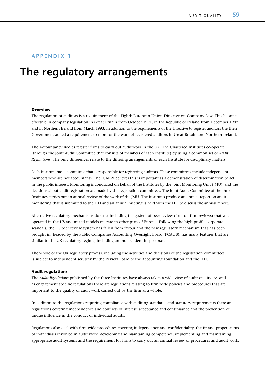# **APPENDIX 1**

# **The regulatory arrangements**

#### **Overview**

The regulation of auditors is a requirement of the Eighth European Union Directive on Company Law. This became effective in company legislation in Great Britain from October 1991, in the Republic of Ireland from December 1992 and in Northern Ireland from March 1993. In addition to the requirements of the Directive to register auditors the then Government added a requirement to monitor the work of registered auditors in Great Britain and Northern Ireland.

The Accountancy Bodies register firms to carry out audit work in the UK. The Chartered Institutes co-operate (through the Joint Audit Committee that consists of members of each Institute) by using a common set of *Audit Regulations*. The only differences relate to the differing arrangements of each Institute for disciplinary matters.

Each Institute has a committee that is responsible for registering auditors. These committees include independent members who are not accountants. The ICAEW believes this is important as a demonstration of determination to act in the public interest. Monitoring is conducted on behalf of the Institutes by the Joint Monitoring Unit (JMU), and the decisions about audit registration are made by the registration committees. The Joint Audit Committee of the three Institutes carries out an annual review of the work of the JMU. The Institutes produce an annual report on audit monitoring that is submitted to the DTI and an annual meeting is held with the DTI to discuss the annual report.

Alternative regulatory mechanisms do exist including the system of peer review (firm on firm reviews) that was operated in the US and mixed models operate in other parts of Europe. Following the high profile corporate scandals, the US peer review system has fallen from favour and the new regulatory mechanism that has been brought in, headed by the Public Companies Accounting Oversight Board (PCAOB), has many features that are similar to the UK regulatory regime, including an independent inspectorate.

The whole of the UK regulatory process, including the activities and decisions of the registration committees is subject to independent scrutiny by the Review Board of the Accounting Foundation and the DTI.

#### **Audit regulations**

The *Audit Regulations* published by the three Institutes have always taken a wide view of audit quality. As well as engagement specific regulations there are regulations relating to firm wide policies and procedures that are important to the quality of audit work carried out by the firm as a whole.

In addition to the regulations requiring compliance with auditing standards and statutory requirements there are regulations covering independence and conflicts of interest, acceptance and continuance and the prevention of undue influence in the conduct of individual audits.

Regulations also deal with firm-wide procedures covering independence and confidentiality, the fit and proper status of individuals involved in audit work, developing and maintaining competence, implementing and maintaining appropriate audit systems and the requirement for firms to carry out an annual review of procedures and audit work.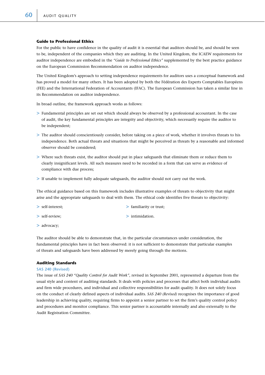# **Guide to Professional Ethics**

For the public to have confidence in the quality of audit it is essential that auditors should be, and should be seen to be, independent of the companies which they are auditing. In the United Kingdom, the ICAEW requirements for auditor independence are embodied in the *"Guide to Professional Ethics"* supplemented by the best practice guidance on the European Commission Recommendation on auditor independence.

The United Kingdom's approach to setting independence requirements for auditors uses a conceptual framework and has proved a model for many others. It has been adopted by both the Fédération des Experts Comptables Européens (FEE) and the International Federation of Accountants (IFAC). The European Commission has taken a similar line in its Recommendation on auditor independence.

In broad outline, the framework approach works as follows:

- **>** Fundamental principles are set out which should always be observed by a professional accountant. In the case of audit, the key fundamental principles are integrity and objectivity, which necessarily require the auditor to be independent;
- **>** The auditor should conscientiously consider, before taking on a piece of work, whether it involves threats to his independence. Both actual threats and situations that might be perceived as threats by a reasonable and informed observer should be considered;
- **>** Where such threats exist, the auditor should put in place safeguards that eliminate them or reduce them to clearly insignificant levels. All such measures need to be recorded in a form that can serve as evidence of compliance with due process;
- **>** If unable to implement fully adequate safeguards, the auditor should not carry out the work.

The ethical guidance based on this framework includes illustrative examples of threats to objectivity that might arise and the appropriate safeguards to deal with them. The ethical code identifies five threats to objectivity:

**>** self-interest; **>** familiarity or trust;

**>** self-review; **>** intimidation.

**>** advocacy;

The auditor should be able to demonstrate that, in the particular circumstances under consideration, the fundamental principles have in fact been observed: it is not sufficient to demonstrate that particular examples of threats and safeguards have been addressed by merely going through the motions.

#### **Auditing Standards**

#### **SAS 240 (Revised)**

The issue of *SAS 240 "Quality Control for Audit Work"*, revised in September 2001, represented a departure from the usual style and content of auditing standards. It deals with policies and processes that affect both individual audits and firm wide procedures, and individual and collective responsibilities for audit quality. It does not solely focus on the conduct of clearly defined aspects of individual audits. *SAS 240 (Revised)* recognises the importance of good leadership in achieving quality, requiring firms to appoint a senior partner to set the firm's quality control policy and procedures and monitor compliance. This senior partner is accountable internally and also externally to the Audit Registration Committee.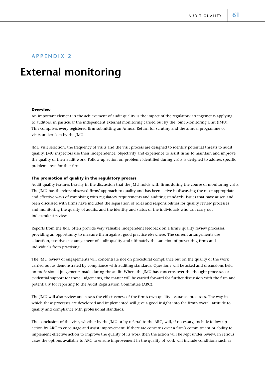# **APPENDIX 2**

# **External monitoring**

#### **Overview**

An important element in the achievement of audit quality is the impact of the regulatory arrangements applying to auditors, in particular the independent external monitoring carried out by the Joint Monitoring Unit (JMU). This comprises every registered firm submitting an Annual Return for scrutiny and the annual programme of visits undertaken by the JMU.

JMU visit selection, the frequency of visits and the visit process are designed to identify potential threats to audit quality. JMU inspectors use their independence, objectivity and experience to assist firms to maintain and improve the quality of their audit work. Follow-up action on problems identified during visits is designed to address specific problem areas for that firm.

# **The promotion of quality in the regulatory process**

Audit quality features heavily in the discussion that the JMU holds with firms during the course of monitoring visits. The JMU has therefore observed firms' approach to quality and has been active in discussing the most appropriate and effective ways of complying with regulatory requirements and auditing standards. Issues that have arisen and been discussed with firms have included the separation of roles and responsibilities for quality review processes and monitoring the quality of audits, and the identity and status of the individuals who can carry out independent reviews.

Reports from the JMU often provide very valuable independent feedback on a firm's quality review processes, providing an opportunity to measure them against good practice elsewhere. The current arrangements use education, positive encouragement of audit quality and ultimately the sanction of preventing firms and individuals from practising.

The JMU review of engagements will concentrate not on procedural compliance but on the quality of the work carried out as demonstrated by compliance with auditing standards. Questions will be asked and discussions held on professional judgements made during the audit. Where the JMU has concerns over the thought processes or evidential support for these judgements, the matter will be carried forward for further discussion with the firm and potentially for reporting to the Audit Registration Committee (ARC).

The JMU will also review and assess the effectiveness of the firm's own quality assurance processes. The way in which these processes are developed and implemented will give a good insight into the firm's overall attitude to quality and compliance with professional standards.

The conclusion of the visit, whether by the JMU or by referral to the ARC, will, if necessary, include follow-up action by ARC to encourage and assist improvement. If there are concerns over a firm's commitment or ability to implement effective action to improve the quality of its work then the action will be kept under review. In serious cases the options available to ARC to ensure improvement in the quality of work will include conditions such as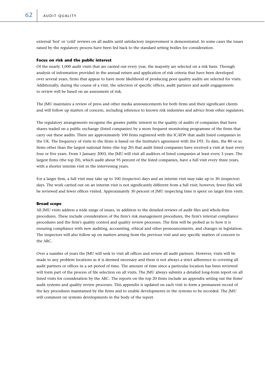external 'hot' or 'cold' reviews on all audits until satisfactory improvement is demonstrated. In some cases the issues raised by the regulatory process have been fed back to the standard setting bodies for consideration.

#### **Focus on risk and the public interest**

Of the nearly 1,000 audit visits that are carried out every year, the majority are selected on a risk basis. Through analysis of information provided in the annual return and application of risk criteria that have been developed over several years, firms that appear to have more likelihood of producing poor quality audits are selected for visits. Additionally, during the course of a visit, the selection of specific offices, audit partners and audit engagements to review will be based on an assessment of risk.

The JMU maintains a review of press and other media announcements for both firms and their significant clients and will follow up matters of concern, including reference to known risk industries and advice from other regulators.

The regulatory arrangements recognise the greater public interest in the quality of audits of companies that have shares traded on a public exchange (listed companies) by a more frequent monitoring programme of the firms that carry out these audits. There are approximately 100 firms registered with the ICAEW that audit listed companies in the UK. The frequency of visits to the firms is based on the Institute's agreement with the DTI. To date, the 80 or so firms other than the largest national firms (the top 20) that audit listed companies have received a visit at least every four or five years. From 1 January 2003, the JMU will visit all auditors of listed companies at least every 3 years. The largest firms (the top 20), which audit about 95 percent of the listed companies, have a full visit every three years, with a shorter interim visit in the intervening years.

For a larger firm, a full visit may take up to 100 (inspector) days and an interim visit may take up to 30 (inspector) days. The work carried out on an interim visit is not significantly different from a full visit; however, fewer files will be reviewed and fewer offices visited. Approximately 30 percent of JMU inspecting time is spent on larger firm visits.

### **Broad scope**

All JMU visits address a wide range of issues, in addition to the detailed reviews of audit files and whole-firm procedures. These include consideration of the firm's risk management procedures, the firm's internal compliance procedures and the firm's quality control and quality review processes. The firm will be probed as to how it is ensuring compliance with new auditing, accounting, ethical and other pronouncements, and changes in legislation. The inspectors will also follow up on matters arising from the previous visit and any specific matters of concern to the ARC.

Over a number of years the JMU will seek to visit all offices and review all audit partners. However, visits will be made to any problem locations as it is deemed necessary and there is not always a strict adherence to covering all audit partners or offices in a set period of time. The amount of time since a particular location has been reviewed will form part of the process of file selection on all visits. The JMU always submits a detailed long-form report on all listed visits for consideration by the ARC. The reports on the top 20 firms include an appendix setting out the firms' audit systems and quality review processes. This appendix is updated on each visit to form a permanent record of the key procedures maintained by the firms and to enable developments in the systems to be recorded. The JMU will comment on systems developments in the body of the report.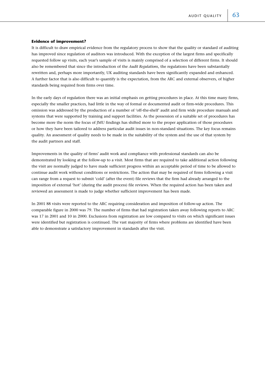#### **Evidence of improvement?**

It is difficult to draw empirical evidence from the regulatory process to show that the quality or standard of auditing has improved since regulation of auditors was introduced. With the exception of the largest firms and specifically requested follow up visits, each year's sample of visits is mainly comprised of a selection of different firms. It should also be remembered that since the introduction of the *Audit Regulations*, the regulations have been substantially rewritten and, perhaps more importantly, UK auditing standards have been significantly expanded and enhanced. A further factor that is also difficult to quantify is the expectation, from the ARC and external observers, of higher standards being required from firms over time.

In the early days of regulation there was an initial emphasis on getting procedures in place. At this time many firms, especially the smaller practices, had little in the way of formal or documented audit or firm-wide procedures. This omission was addressed by the production of a number of 'off-the-shelf' audit and firm wide procedure manuals and systems that were supported by training and support facilities. As the possession of a suitable set of procedures has become more the norm the focus of JMU findings has shifted more to the proper application of those procedures or how they have been tailored to address particular audit issues in non-standard situations. The key focus remains quality. An assessment of quality needs to be made in the suitability of the system and the use of that system by the audit partners and staff.

Improvements in the quality of firms' audit work and compliance with professional standards can also be demonstrated by looking at the follow-up to a visit. Most firms that are required to take additional action following the visit are normally judged to have made sufficient progress within an acceptable period of time to be allowed to continue audit work without conditions or restrictions. The action that may be required of firms following a visit can range from a request to submit 'cold' (after the event) file reviews that the firm had already arranged to the imposition of external 'hot' (during the audit process) file reviews. When the required action has been taken and reviewed an assessment is made to judge whether sufficient improvement has been made.

In 2001 88 visits were reported to the ARC requiring consideration and imposition of follow-up action. The comparable figure in 2000 was 79. The number of firms that had registration taken away following reports to ARC was 17 in 2001 and 10 in 2000. Exclusions from registration are low compared to visits on which significant issues were identified but registration is continued. The vast majority of firms where problems are identified have been able to demonstrate a satisfactory improvement in standards after the visit.